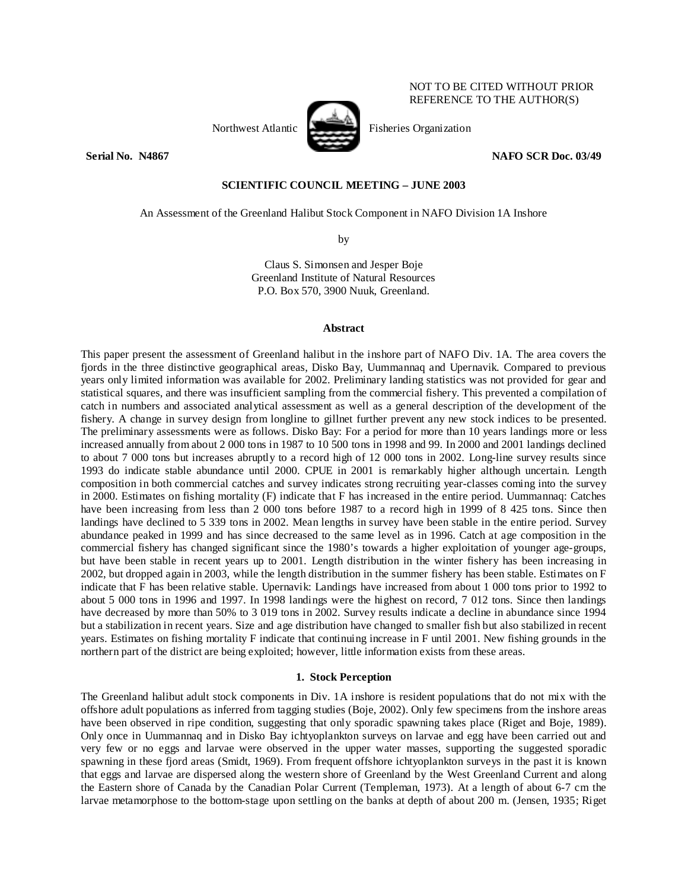Northwest Atlantic Fisheries Organization

**Serial No. 201867** NAFO SCR Doc. 03/49

# **SCIENTIFIC COUNCIL MEETING – JUNE 2003**

An Assessment of the Greenland Halibut Stock Component in NAFO Division 1A Inshore

by

Claus S. Simonsen and Jesper Boje Greenland Institute of Natural Resources P.O. Box 570, 3900 Nuuk, Greenland.

## **Abstract**

This paper present the assessment of Greenland halibut in the inshore part of NAFO Div. 1A. The area covers the fjords in the three distinctive geographical areas, Disko Bay, Uummannaq and Upernavik. Compared to previous years only limited information was available for 2002. Preliminary landing statistics was not provided for gear and statistical squares, and there was insufficient sampling from the commercial fishery. This prevented a compilation of catch in numbers and associated analytical assessment as well as a general description of the development of the fishery. A change in survey design from longline to gillnet further prevent any new stock indices to be presented. The preliminary assessments were as follows. Disko Bay: For a period for more than 10 years landings more or less increased annually from about 2 000 tons in 1987 to 10 500 tons in 1998 and 99. In 2000 and 2001 landings declined to about 7 000 tons but increases abruptly to a record high of 12 000 tons in 2002. Long-line survey results since 1993 do indicate stable abundance until 2000. CPUE in 2001 is remarkably higher although uncertain. Length composition in both commercial catches and survey indicates strong recruiting year-classes coming into the survey in 2000. Estimates on fishing mortality (F) indicate that F has increased in the entire period. Uummannaq: Catches have been increasing from less than 2 000 tons before 1987 to a record high in 1999 of 8 425 tons. Since then landings have declined to 5 339 tons in 2002. Mean lengths in survey have been stable in the entire period. Survey abundance peaked in 1999 and has since decreased to the same level as in 1996. Catch at age composition in the commercial fishery has changed significant since the 1980's towards a higher exploitation of younger age-groups, but have been stable in recent years up to 2001. Length distribution in the winter fishery has been increasing in 2002, but dropped again in 2003, while the length distribution in the summer fishery has been stable. Estimates on F indicate that F has been relative stable. Upernavik: Landings have increased from about 1 000 tons prior to 1992 to about 5 000 tons in 1996 and 1997. In 1998 landings were the highest on record, 7 012 tons. Since then landings have decreased by more than 50% to 3 019 tons in 2002. Survey results indicate a decline in abundance since 1994 but a stabilization in recent years. Size and age distribution have changed to smaller fish but also stabilized in recent years. Estimates on fishing mortality F indicate that continuing increase in F until 2001. New fishing grounds in the northern part of the district are being exploited; however, little information exists from these areas.

## **1. Stock Perception**

The Greenland halibut adult stock components in Div. 1A inshore is resident populations that do not mix with the offshore adult populations as inferred from tagging studies (Boje, 2002). Only few specimens from the inshore areas have been observed in ripe condition, suggesting that only sporadic spawning takes place (Riget and Boje, 1989). Only once in Uummannaq and in Disko Bay ichtyoplankton surveys on larvae and egg have been carried out and very few or no eggs and larvae were observed in the upper water masses, supporting the suggested sporadic spawning in these fjord areas (Smidt, 1969). From frequent offshore ichtyoplankton surveys in the past it is known that eggs and larvae are dispersed along the western shore of Greenland by the West Greenland Current and along the Eastern shore of Canada by the Canadian Polar Current (Templeman, 1973). At a length of about 6-7 cm the larvae metamorphose to the bottom-stage upon settling on the banks at depth of about 200 m. (Jensen, 1935; Riget



NOT TO BE CITED WITHOUT PRIOR REFERENCE TO THE AUTHOR(S)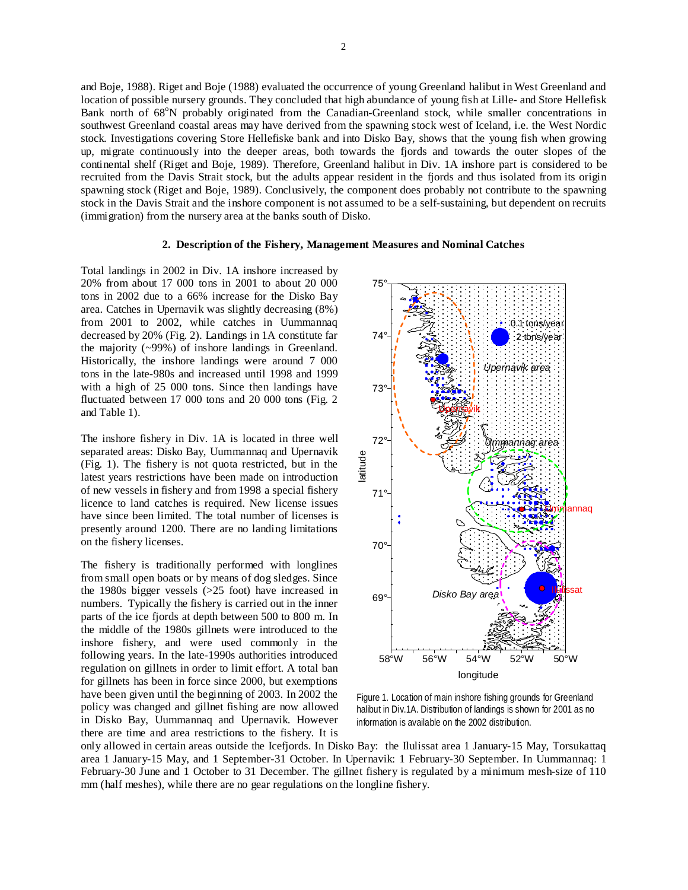and Boje, 1988). Riget and Boje (1988) evaluated the occurrence of young Greenland halibut in West Greenland and location of possible nursery grounds. They concluded that high abundance of young fish at Lille- and Store Hellefisk Bank north of 68°N probably originated from the Canadian-Greenland stock, while smaller concentrations in southwest Greenland coastal areas may have derived from the spawning stock west of Iceland, i.e. the West Nordic stock. Investigations covering Store Hellefiske bank and into Disko Bay, shows that the young fish when growing up, migrate continuously into the deeper areas, both towards the fjords and towards the outer slopes of the continental shelf (Riget and Boje, 1989). Therefore, Greenland halibut in Div. 1A inshore part is considered to be recruited from the Davis Strait stock, but the adults appear resident in the fjords and thus isolated from its origin spawning stock (Riget and Boje, 1989). Conclusively, the component does probably not contribute to the spawning stock in the Davis Strait and the inshore component is not assumed to be a self-sustaining, but dependent on recruits (immigration) from the nursery area at the banks south of Disko.

# **2. Description of the Fishery, Management Measures and Nominal Catches**

Total landings in 2002 in Div. 1A inshore increased by 20% from about 17 000 tons in 2001 to about 20 000 tons in 2002 due to a 66% increase for the Disko Bay area. Catches in Upernavik was slightly decreasing (8%) from 2001 to 2002, while catches in Uummannaq decreased by 20% (Fig. 2). Landings in 1A constitute far the majority (~99%) of inshore landings in Greenland. Historically, the inshore landings were around 7 000 tons in the late-980s and increased until 1998 and 1999 with a high of 25 000 tons. Since then landings have fluctuated between 17 000 tons and 20 000 tons (Fig. 2 and Table 1).

The inshore fishery in Div. 1A is located in three well separated areas: Disko Bay, Uummannaq and Upernavik (Fig. 1). The fishery is not quota restricted, but in the latest years restrictions have been made on introduction of new vessels in fishery and from 1998 a special fishery licence to land catches is required. New license issues have since been limited. The total number of licenses is presently around 1200. There are no landing limitations on the fishery licenses.

The fishery is traditionally performed with longlines from small open boats or by means of dog sledges. Since the 1980s bigger vessels (>25 foot) have increased in numbers. Typically the fishery is carried out in the inner parts of the ice fjords at depth between 500 to 800 m. In the middle of the 1980s gillnets were introduced to the inshore fishery, and were used commonly in the following years. In the late-1990s authorities introduced regulation on gillnets in order to limit effort. A total ban for gillnets has been in force since 2000, but exemptions have been given until the beginning of 2003. In 2002 the policy was changed and gillnet fishing are now allowed in Disko Bay, Uummannaq and Upernavik. However there are time and area restrictions to the fishery. It is



Figure 1. Location of main inshore fishing grounds for Greenland halibut in Div.1A. Distribution of landings is shown for 2001 as no information is available on the 2002 distribution.

only allowed in certain areas outside the Icefjords. In Disko Bay: the Ilulissat area 1 January-15 May, Torsukattaq area 1 January-15 May, and 1 September-31 October. In Upernavik: 1 February-30 September. In Uummannaq: 1 February-30 June and 1 October to 31 December. The gillnet fishery is regulated by a minimum mesh-size of 110 mm (half meshes), while there are no gear regulations on the longline fishery.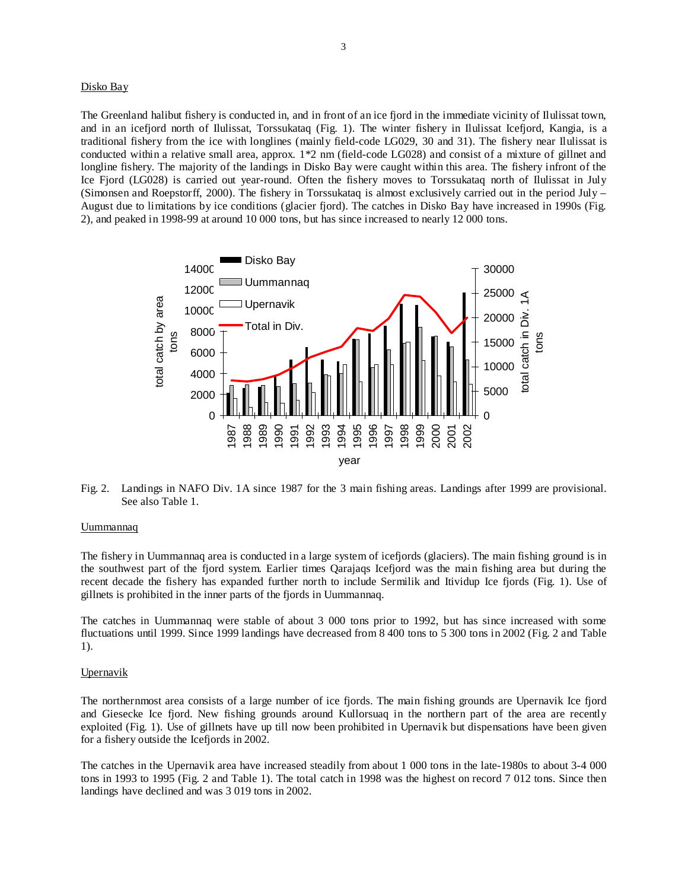## Disko Bay

The Greenland halibut fishery is conducted in, and in front of an ice fjord in the immediate vicinity of Ilulissat town, and in an icefjord north of Ilulissat, Torssukataq (Fig. 1). The winter fishery in Ilulissat Icefjord, Kangia, is a traditional fishery from the ice with longlines (mainly field-code LG029, 30 and 31). The fishery near Ilulissat is conducted within a relative small area, approx. 1\*2 nm (field-code LG028) and consist of a mixture of gillnet and longline fishery. The majority of the landings in Disko Bay were caught within this area. The fishery infront of the Ice Fjord (LG028) is carried out year-round. Often the fishery moves to Torssukataq north of Ilulissat in July (Simonsen and Roepstorff, 2000). The fishery in Torssukataq is almost exclusively carried out in the period July – August due to limitations by ice conditions (glacier fjord). The catches in Disko Bay have increased in 1990s (Fig. 2), and peaked in 1998-99 at around 10 000 tons, but has since increased to nearly 12 000 tons.



Fig. 2. Landings in NAFO Div. 1A since 1987 for the 3 main fishing areas. Landings after 1999 are provisional. See also Table 1.

#### Uummannaq

The fishery in Uummannaq area is conducted in a large system of icefjords (glaciers). The main fishing ground is in the southwest part of the fjord system. Earlier times Qarajaqs Icefjord was the main fishing area but during the recent decade the fishery has expanded further north to include Sermilik and Itividup Ice fjords (Fig. 1). Use of gillnets is prohibited in the inner parts of the fjords in Uummannaq.

The catches in Uummannaq were stable of about 3 000 tons prior to 1992, but has since increased with some fluctuations until 1999. Since 1999 landings have decreased from 8 400 tons to 5 300 tons in 2002 (Fig. 2 and Table 1).

#### **Upernavik**

The northernmost area consists of a large number of ice fjords. The main fishing grounds are Upernavik Ice fjord and Giesecke Ice fjord. New fishing grounds around Kullorsuaq in the northern part of the area are recently exploited (Fig. 1). Use of gillnets have up till now been prohibited in Upernavik but dispensations have been given for a fishery outside the Icefjords in 2002.

The catches in the Upernavik area have increased steadily from about 1 000 tons in the late-1980s to about 3-4 000 tons in 1993 to 1995 (Fig. 2 and Table 1). The total catch in 1998 was the highest on record 7 012 tons. Since then landings have declined and was 3 019 tons in 2002.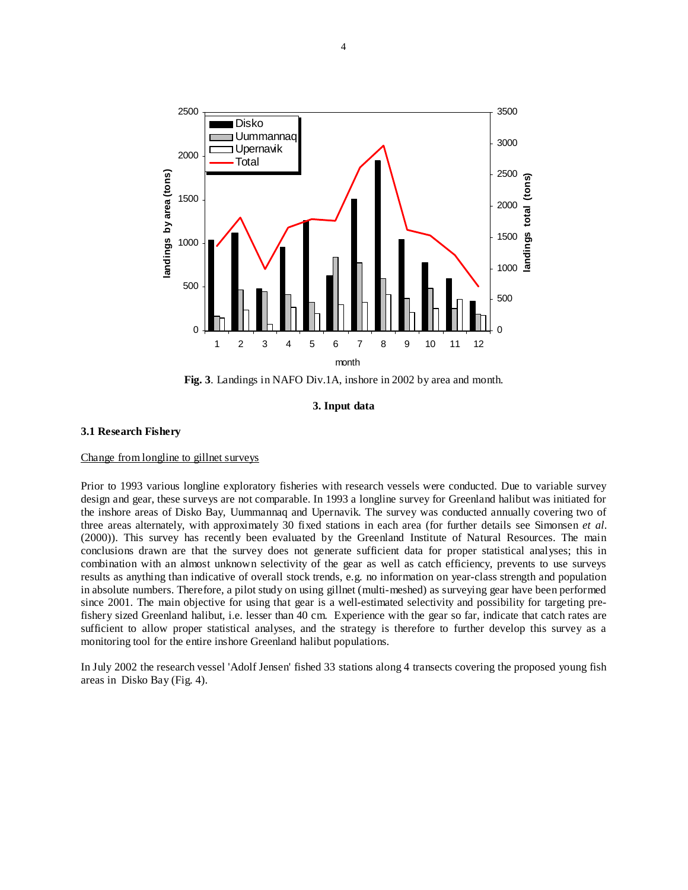

**Fig. 3**. Landings in NAFO Div.1A, inshore in 2002 by area and month.

**3. Input data** 

## **3.1 Research Fishery**

## Change from longline to gillnet surveys

Prior to 1993 various longline exploratory fisheries with research vessels were conducted. Due to variable survey design and gear, these surveys are not comparable. In 1993 a longline survey for Greenland halibut was initiated for the inshore areas of Disko Bay, Uummannaq and Upernavik. The survey was conducted annually covering two of three areas alternately, with approximately 30 fixed stations in each area (for further details see Simonsen *et al*. (2000)). This survey has recently been evaluated by the Greenland Institute of Natural Resources. The main conclusions drawn are that the survey does not generate sufficient data for proper statistical analyses; this in combination with an almost unknown selectivity of the gear as well as catch efficiency, prevents to use surveys results as anything than indicative of overall stock trends, e.g. no information on year-class strength and population in absolute numbers. Therefore, a pilot study on using gillnet (multi-meshed) as surveying gear have been performed since 2001. The main objective for using that gear is a well-estimated selectivity and possibility for targeting prefishery sized Greenland halibut, i.e. lesser than 40 cm. Experience with the gear so far, indicate that catch rates are sufficient to allow proper statistical analyses, and the strategy is therefore to further develop this survey as a monitoring tool for the entire inshore Greenland halibut populations.

In July 2002 the research vessel 'Adolf Jensen' fished 33 stations along 4 transects covering the proposed young fish areas in Disko Bay (Fig. 4).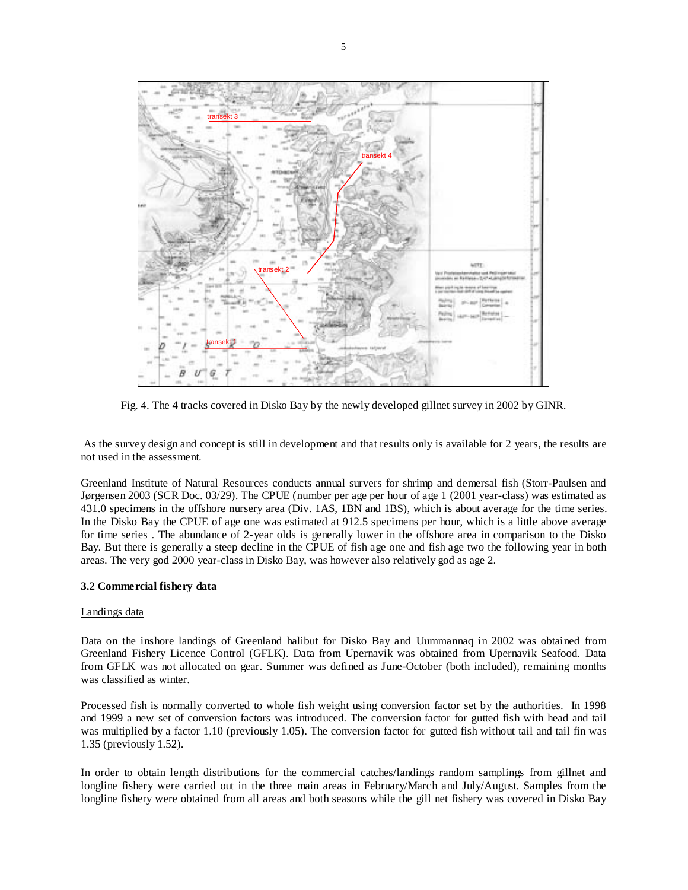

Fig. 4. The 4 tracks covered in Disko Bay by the newly developed gillnet survey in 2002 by GINR.

 As the survey design and concept is still in development and that results only is available for 2 years, the results are not used in the assessment.

Greenland Institute of Natural Resources conducts annual survers for shrimp and demersal fish (Storr-Paulsen and Jørgensen 2003 (SCR Doc. 03/29). The CPUE (number per age per hour of age 1 (2001 year-class) was estimated as 431.0 specimens in the offshore nursery area (Div. 1AS, 1BN and 1BS), which is about average for the time series. In the Disko Bay the CPUE of age one was estimated at 912.5 specimens per hour, which is a little above average for time series . The abundance of 2-year olds is generally lower in the offshore area in comparison to the Disko Bay. But there is generally a steep decline in the CPUE of fish age one and fish age two the following year in both areas. The very god 2000 year-class in Disko Bay, was however also relatively god as age 2.

# **3.2 Commercial fishery data**

## Landings data

Data on the inshore landings of Greenland halibut for Disko Bay and Uummannaq in 2002 was obtained from Greenland Fishery Licence Control (GFLK). Data from Upernavik was obtained from Upernavik Seafood. Data from GFLK was not allocated on gear. Summer was defined as June-October (both included), remaining months was classified as winter.

Processed fish is normally converted to whole fish weight using conversion factor set by the authorities. In 1998 and 1999 a new set of conversion factors was introduced. The conversion factor for gutted fish with head and tail was multiplied by a factor 1.10 (previously 1.05). The conversion factor for gutted fish without tail and tail fin was 1.35 (previously 1.52).

In order to obtain length distributions for the commercial catches/landings random samplings from gillnet and longline fishery were carried out in the three main areas in February/March and July/August. Samples from the longline fishery were obtained from all areas and both seasons while the gill net fishery was covered in Disko Bay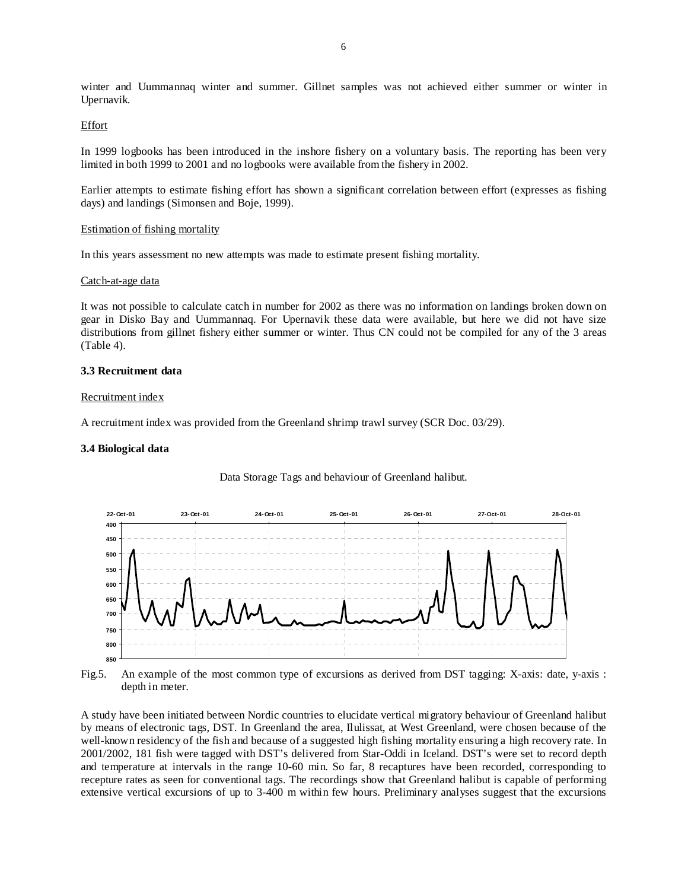winter and Uummannaq winter and summer. Gillnet samples was not achieved either summer or winter in Upernavik.

## Effort

In 1999 logbooks has been introduced in the inshore fishery on a voluntary basis. The reporting has been very limited in both 1999 to 2001 and no logbooks were available from the fishery in 2002.

Earlier attempts to estimate fishing effort has shown a significant correlation between effort (expresses as fishing days) and landings (Simonsen and Boje, 1999).

## Estimation of fishing mortality

In this years assessment no new attempts was made to estimate present fishing mortality.

## Catch-at-age data

It was not possible to calculate catch in number for 2002 as there was no information on landings broken down on gear in Disko Bay and Uummannaq. For Upernavik these data were available, but here we did not have size distributions from gillnet fishery either summer or winter. Thus CN could not be compiled for any of the 3 areas (Table 4).

## **3.3 Recruitment data**

## Recruitment index

A recruitment index was provided from the Greenland shrimp trawl survey (SCR Doc. 03/29).

## **3.4 Biological data**



## Data Storage Tags and behaviour of Greenland halibut.

Fig.5. An example of the most common type of excursions as derived from DST tagging: X-axis: date, y-axis : depth in meter.

A study have been initiated between Nordic countries to elucidate vertical migratory behaviour of Greenland halibut by means of electronic tags, DST. In Greenland the area, Ilulissat, at West Greenland, were chosen because of the well-known residency of the fish and because of a suggested high fishing mortality ensuring a high recovery rate. In 2001/2002, 181 fish were tagged with DST's delivered from Star-Oddi in Iceland. DST's were set to record depth and temperature at intervals in the range 10-60 min. So far, 8 recaptures have been recorded, corresponding to recepture rates as seen for conventional tags. The recordings show that Greenland halibut is capable of performing extensive vertical excursions of up to 3-400 m within few hours. Preliminary analyses suggest that the excursions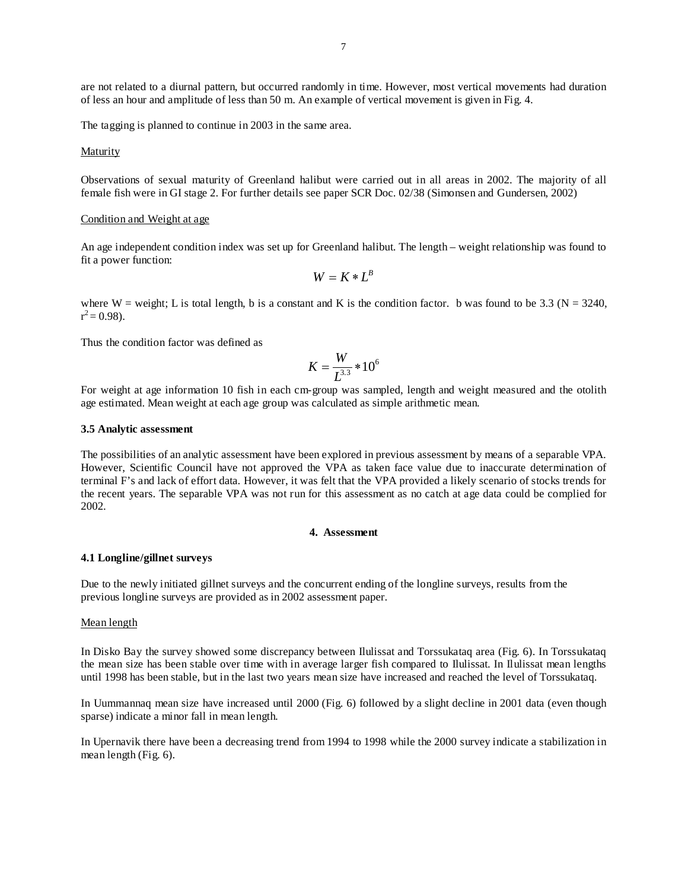are not related to a diurnal pattern, but occurred randomly in time. However, most vertical movements had duration of less an hour and amplitude of less than 50 m. An example of vertical movement is given in Fig. 4.

The tagging is planned to continue in 2003 in the same area.

Maturity

Observations of sexual maturity of Greenland halibut were carried out in all areas in 2002. The majority of all female fish were in GI stage 2. For further details see paper SCR Doc. 02/38 (Simonsen and Gundersen, 2002)

## Condition and Weight at age

An age independent condition index was set up for Greenland halibut. The length – weight relationship was found to fit a power function:

$$
W = K * L^B
$$

where W = weight; L is total length, b is a constant and K is the condition factor. b was found to be 3.3 ( $N = 3240$ ,  $r^2$  = 0.98).

Thus the condition factor was defined as

$$
K = \frac{W}{L^{3.3}} * 10^6
$$

For weight at age information 10 fish in each cm-group was sampled, length and weight measured and the otolith age estimated. Mean weight at each age group was calculated as simple arithmetic mean.

## **3.5 Analytic assessment**

The possibilities of an analytic assessment have been explored in previous assessment by means of a separable VPA. However, Scientific Council have not approved the VPA as taken face value due to inaccurate determination of terminal F's and lack of effort data. However, it was felt that the VPA provided a likely scenario of stocks trends for the recent years. The separable VPA was not run for this assessment as no catch at age data could be complied for 2002.

## **4. Assessment**

#### **4.1 Longline/gillnet surveys**

Due to the newly initiated gillnet surveys and the concurrent ending of the longline surveys, results from the previous longline surveys are provided as in 2002 assessment paper.

#### Mean length

In Disko Bay the survey showed some discrepancy between Ilulissat and Torssukataq area (Fig. 6). In Torssukataq the mean size has been stable over time with in average larger fish compared to Ilulissat. In Ilulissat mean lengths until 1998 has been stable, but in the last two years mean size have increased and reached the level of Torssukataq.

In Uummannaq mean size have increased until 2000 (Fig. 6) followed by a slight decline in 2001 data (even though sparse) indicate a minor fall in mean length.

In Upernavik there have been a decreasing trend from 1994 to 1998 while the 2000 survey indicate a stabilization in mean length (Fig. 6).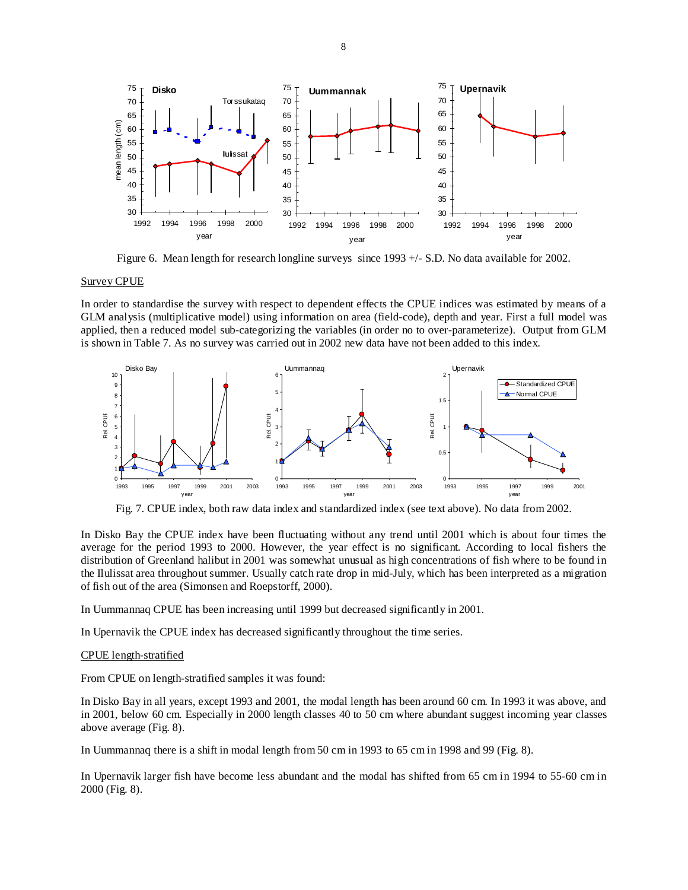

Figure 6. Mean length for research longline surveys since 1993 +/- S.D. No data available for 2002.

## Survey CPUE

In order to standardise the survey with respect to dependent effects the CPUE indices was estimated by means of a GLM analysis (multiplicative model) using information on area (field-code), depth and year. First a full model was applied, then a reduced model sub-categorizing the variables (in order no to over-parameterize). Output from GLM is shown in Table 7. As no survey was carried out in 2002 new data have not been added to this index.



Fig. 7. CPUE index, both raw data index and standardized index (see text above). No data from 2002.

In Disko Bay the CPUE index have been fluctuating without any trend until 2001 which is about four times the average for the period 1993 to 2000. However, the year effect is no significant. According to local fishers the distribution of Greenland halibut in 2001 was somewhat unusual as high concentrations of fish where to be found in the Ilulissat area throughout summer. Usually catch rate drop in mid-July, which has been interpreted as a migration of fish out of the area (Simonsen and Roepstorff, 2000).

In Uummannaq CPUE has been increasing until 1999 but decreased significantly in 2001.

In Upernavik the CPUE index has decreased significantly throughout the time series.

#### CPUE length-stratified

From CPUE on length-stratified samples it was found:

In Disko Bay in all years, except 1993 and 2001, the modal length has been around 60 cm. In 1993 it was above, and in 2001, below 60 cm. Especially in 2000 length classes 40 to 50 cm where abundant suggest incoming year classes above average (Fig. 8).

In Uummannaq there is a shift in modal length from 50 cm in 1993 to 65 cm in 1998 and 99 (Fig. 8).

In Upernavik larger fish have become less abundant and the modal has shifted from 65 cm in 1994 to 55-60 cm in 2000 (Fig. 8).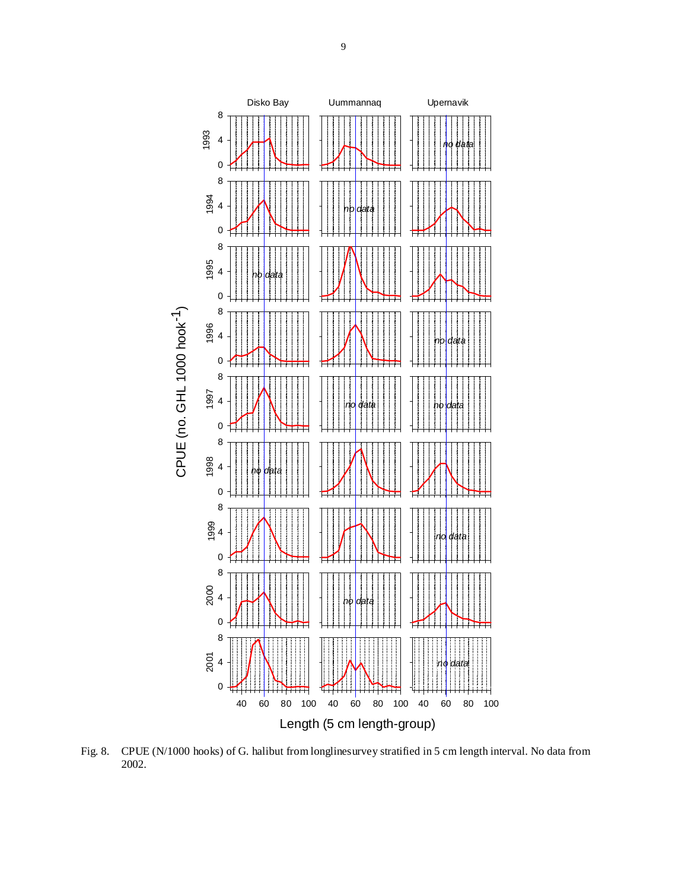

Fig. 8. CPUE (N/1000 hooks) of G. halibut from longlinesurvey stratified in 5 cm length interval. No data from 2002.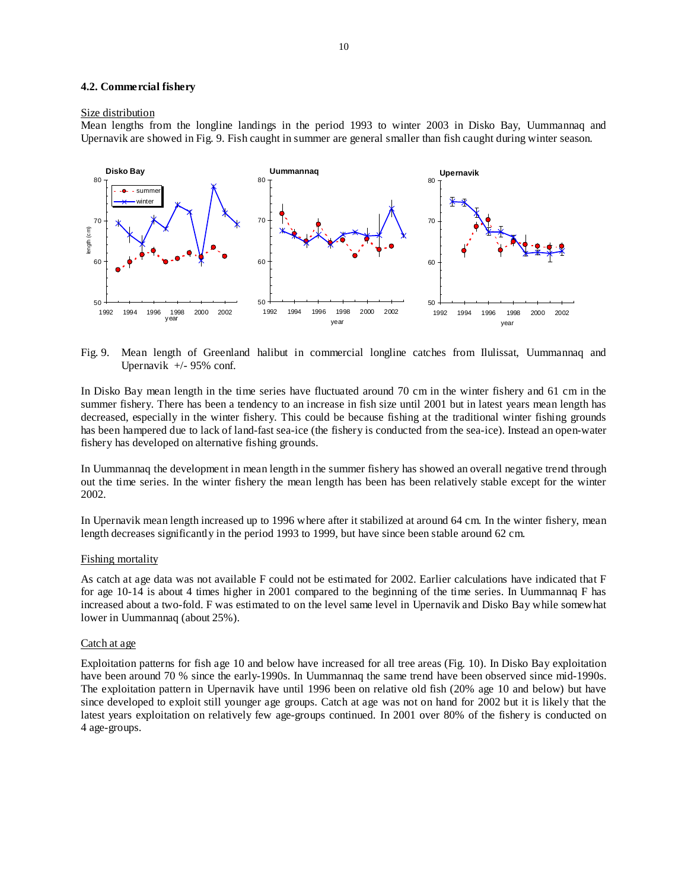#### **4.2. Commercial fishery**

#### Size distribution

Mean lengths from the longline landings in the period 1993 to winter 2003 in Disko Bay, Uummannaq and Upernavik are showed in Fig. 9. Fish caught in summer are general smaller than fish caught during winter season.



Fig. 9. Mean length of Greenland halibut in commercial longline catches from Ilulissat, Uummannaq and Upernavik +/- 95% conf.

In Disko Bay mean length in the time series have fluctuated around 70 cm in the winter fishery and 61 cm in the summer fishery. There has been a tendency to an increase in fish size until 2001 but in latest years mean length has decreased, especially in the winter fishery. This could be because fishing at the traditional winter fishing grounds has been hampered due to lack of land-fast sea-ice (the fishery is conducted from the sea-ice). Instead an open-water fishery has developed on alternative fishing grounds.

In Uummannaq the development in mean length in the summer fishery has showed an overall negative trend through out the time series. In the winter fishery the mean length has been has been relatively stable except for the winter 2002.

In Upernavik mean length increased up to 1996 where after it stabilized at around 64 cm. In the winter fishery, mean length decreases significantly in the period 1993 to 1999, but have since been stable around 62 cm.

## Fishing mortality

As catch at age data was not available F could not be estimated for 2002. Earlier calculations have indicated that F for age 10-14 is about 4 times higher in 2001 compared to the beginning of the time series. In Uummannaq F has increased about a two-fold. F was estimated to on the level same level in Upernavik and Disko Bay while somewhat lower in Uummannaq (about 25%).

## Catch at age

Exploitation patterns for fish age 10 and below have increased for all tree areas (Fig. 10). In Disko Bay exploitation have been around 70 % since the early-1990s. In Uummannaq the same trend have been observed since mid-1990s. The exploitation pattern in Upernavik have until 1996 been on relative old fish (20% age 10 and below) but have since developed to exploit still younger age groups. Catch at age was not on hand for 2002 but it is likely that the latest years exploitation on relatively few age-groups continued. In 2001 over 80% of the fishery is conducted on 4 age-groups.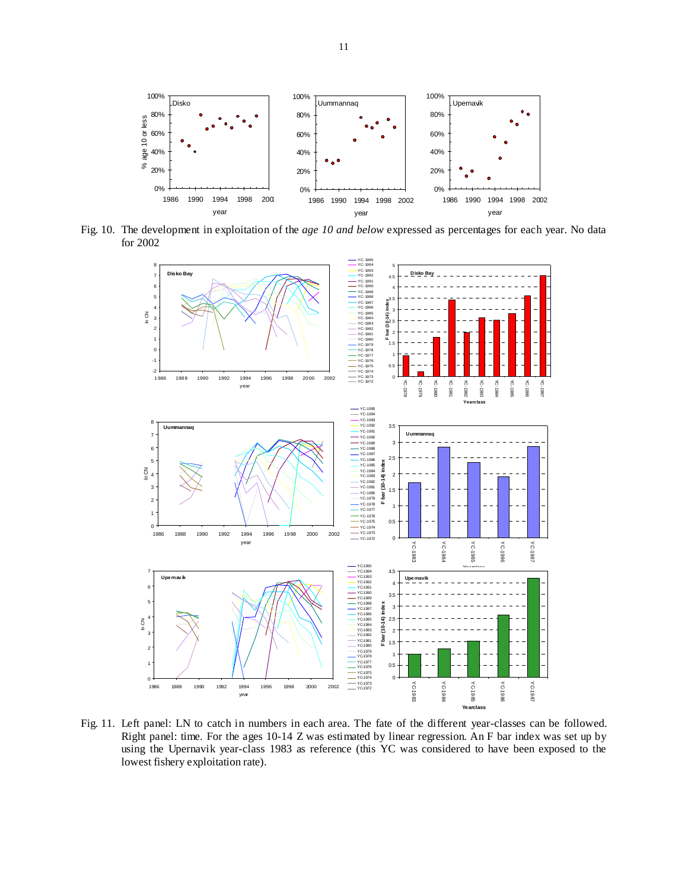

Fig. 10. The development in exploitation of the *age 10 and below* expressed as percentages for each year. No data for 2002



Fig. 11. Left panel: LN to catch in numbers in each area. The fate of the different year-classes can be followed. Right panel: time. For the ages 10-14 Z was estimated by linear regression. An F bar index was set up by using the Upernavik year-class 1983 as reference (this YC was considered to have been exposed to the lowest fishery exploitation rate).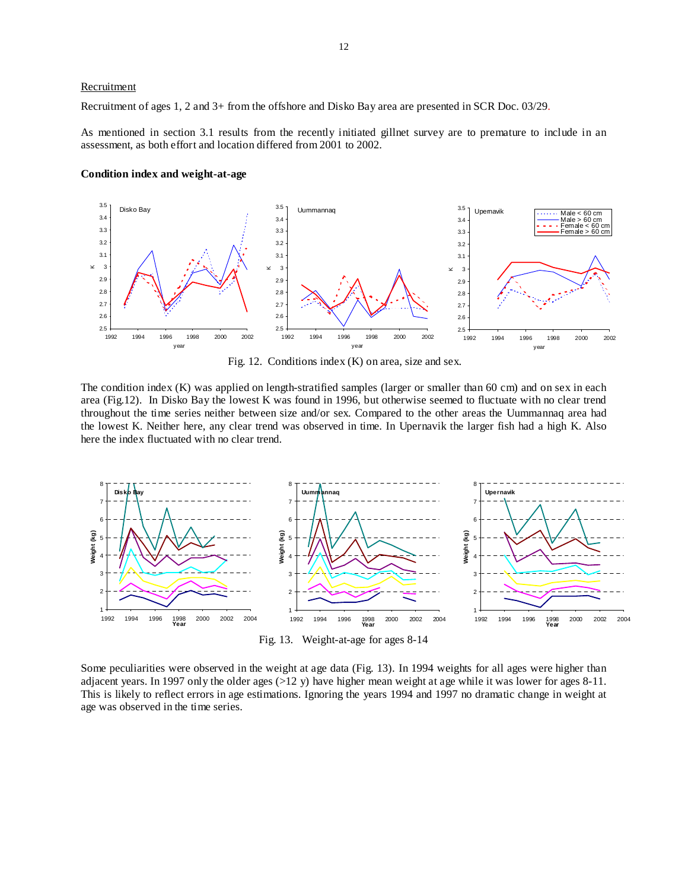## **Recruitment**

Recruitment of ages 1, 2 and 3+ from the offshore and Disko Bay area are presented in SCR Doc. 03/29.

As mentioned in section 3.1 results from the recently initiated gillnet survey are to premature to include in an assessment, as both effort and location differed from 2001 to 2002.

#### **Condition index and weight-at-age**



Fig. 12. Conditions index (K) on area, size and sex.

The condition index (K) was applied on length-stratified samples (larger or smaller than 60 cm) and on sex in each area (Fig.12). In Disko Bay the lowest K was found in 1996, but otherwise seemed to fluctuate with no clear trend throughout the time series neither between size and/or sex. Compared to the other areas the Uummannaq area had the lowest K. Neither here, any clear trend was observed in time. In Upernavik the larger fish had a high K. Also here the index fluctuated with no clear trend.



Fig. 13. Weight-at-age for ages 8-14

Some peculiarities were observed in the weight at age data (Fig. 13). In 1994 weights for all ages were higher than adjacent years. In 1997 only the older ages  $(>12 \text{ y})$  have higher mean weight at age while it was lower for ages 8-11. This is likely to reflect errors in age estimations. Ignoring the years 1994 and 1997 no dramatic change in weight at age was observed in the time series.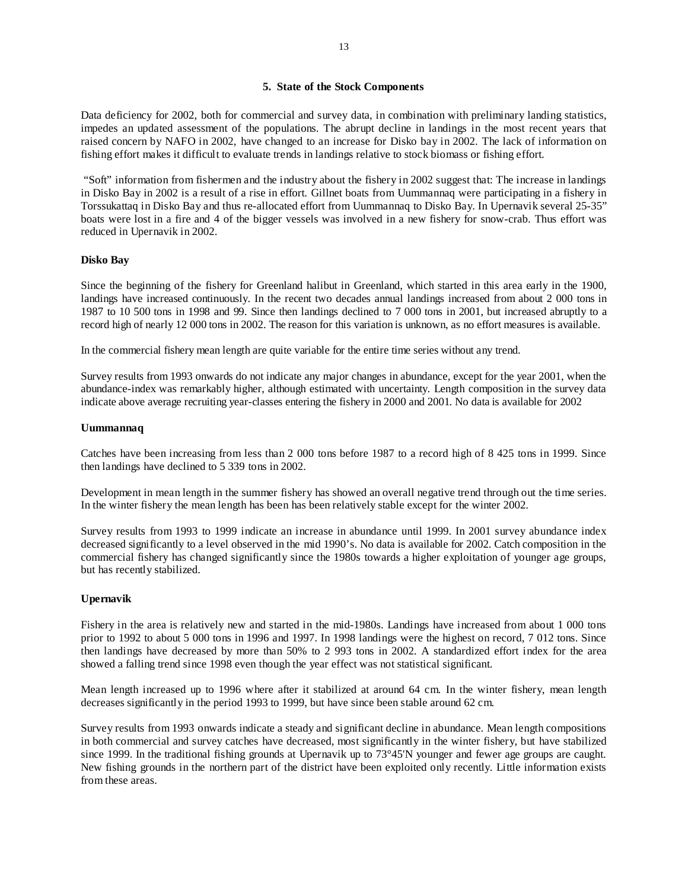# **5. State of the Stock Components**

Data deficiency for 2002, both for commercial and survey data, in combination with preliminary landing statistics, impedes an updated assessment of the populations. The abrupt decline in landings in the most recent years that raised concern by NAFO in 2002, have changed to an increase for Disko bay in 2002. The lack of information on fishing effort makes it difficult to evaluate trends in landings relative to stock biomass or fishing effort.

 "Soft" information from fishermen and the industry about the fishery in 2002 suggest that: The increase in landings in Disko Bay in 2002 is a result of a rise in effort. Gillnet boats from Uummannaq were participating in a fishery in Torssukattaq in Disko Bay and thus re-allocated effort from Uummannaq to Disko Bay. In Upernavik several 25-35" boats were lost in a fire and 4 of the bigger vessels was involved in a new fishery for snow-crab. Thus effort was reduced in Upernavik in 2002.

## **Disko Bay**

Since the beginning of the fishery for Greenland halibut in Greenland, which started in this area early in the 1900, landings have increased continuously. In the recent two decades annual landings increased from about 2 000 tons in 1987 to 10 500 tons in 1998 and 99. Since then landings declined to 7 000 tons in 2001, but increased abruptly to a record high of nearly 12 000 tons in 2002. The reason for this variation is unknown, as no effort measures is available.

In the commercial fishery mean length are quite variable for the entire time series without any trend.

Survey results from 1993 onwards do not indicate any major changes in abundance, except for the year 2001, when the abundance-index was remarkably higher, although estimated with uncertainty. Length composition in the survey data indicate above average recruiting year-classes entering the fishery in 2000 and 2001. No data is available for 2002

## **Uummannaq**

Catches have been increasing from less than 2 000 tons before 1987 to a record high of 8 425 tons in 1999. Since then landings have declined to 5 339 tons in 2002.

Development in mean length in the summer fishery has showed an overall negative trend through out the time series. In the winter fishery the mean length has been has been relatively stable except for the winter 2002.

Survey results from 1993 to 1999 indicate an increase in abundance until 1999. In 2001 survey abundance index decreased significantly to a level observed in the mid 1990's. No data is available for 2002. Catch composition in the commercial fishery has changed significantly since the 1980s towards a higher exploitation of younger age groups, but has recently stabilized.

## **Upernavik**

Fishery in the area is relatively new and started in the mid-1980s. Landings have increased from about 1 000 tons prior to 1992 to about 5 000 tons in 1996 and 1997. In 1998 landings were the highest on record, 7 012 tons. Since then landings have decreased by more than 50% to 2 993 tons in 2002. A standardized effort index for the area showed a falling trend since 1998 even though the year effect was not statistical significant.

Mean length increased up to 1996 where after it stabilized at around 64 cm. In the winter fishery, mean length decreases significantly in the period 1993 to 1999, but have since been stable around 62 cm.

Survey results from 1993 onwards indicate a steady and significant decline in abundance. Mean length compositions in both commercial and survey catches have decreased, most significantly in the winter fishery, but have stabilized since 1999. In the traditional fishing grounds at Upernavik up to 73°45'N younger and fewer age groups are caught. New fishing grounds in the northern part of the district have been exploited only recently. Little information exists from these areas.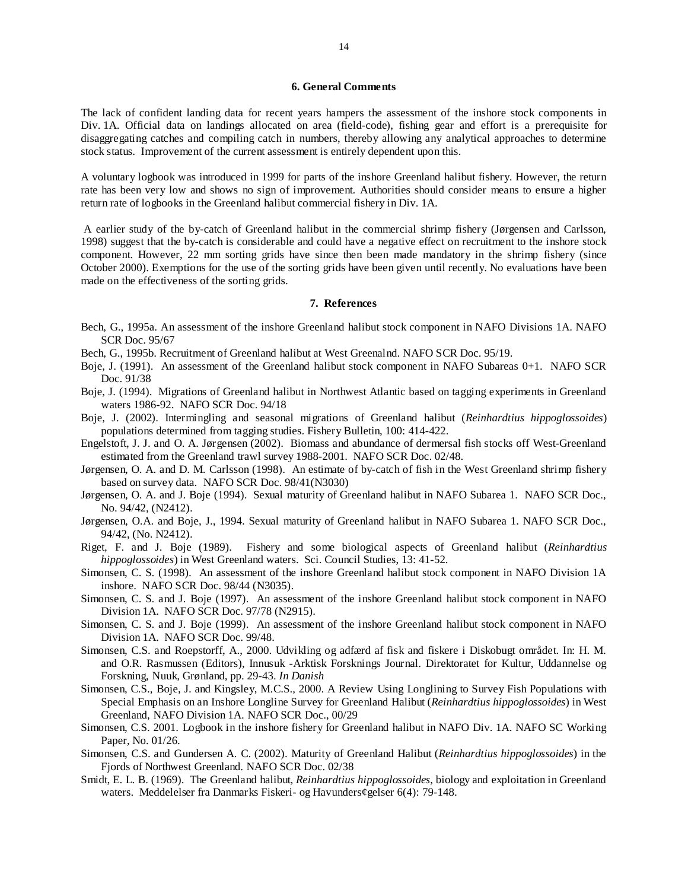## **6. General Comments**

The lack of confident landing data for recent years hampers the assessment of the inshore stock components in Div. 1A. Official data on landings allocated on area (field-code), fishing gear and effort is a prerequisite for disaggregating catches and compiling catch in numbers, thereby allowing any analytical approaches to determine stock status. Improvement of the current assessment is entirely dependent upon this.

A voluntary logbook was introduced in 1999 for parts of the inshore Greenland halibut fishery. However, the return rate has been very low and shows no sign of improvement. Authorities should consider means to ensure a higher return rate of logbooks in the Greenland halibut commercial fishery in Div. 1A.

 A earlier study of the by-catch of Greenland halibut in the commercial shrimp fishery (Jørgensen and Carlsson, 1998) suggest that the by-catch is considerable and could have a negative effect on recruitment to the inshore stock component. However, 22 mm sorting grids have since then been made mandatory in the shrimp fishery (since October 2000). Exemptions for the use of the sorting grids have been given until recently. No evaluations have been made on the effectiveness of the sorting grids.

# **7. References**

- Bech, G., 1995a. An assessment of the inshore Greenland halibut stock component in NAFO Divisions 1A. NAFO SCR Doc. 95/67
- Bech, G., 1995b. Recruitment of Greenland halibut at West Greenalnd. NAFO SCR Doc. 95/19.
- Boje, J. (1991). An assessment of the Greenland halibut stock component in NAFO Subareas 0+1. NAFO SCR Doc. 91/38
- Boje, J. (1994). Migrations of Greenland halibut in Northwest Atlantic based on tagging experiments in Greenland waters 1986-92. NAFO SCR Doc. 94/18
- Boje, J. (2002). Intermingling and seasonal migrations of Greenland halibut (*Reinhardtius hippoglossoides*) populations determined from tagging studies. Fishery Bulletin, 100: 414-422.
- Engelstoft, J. J. and O. A. Jørgensen (2002). Biomass and abundance of dermersal fish stocks off West-Greenland estimated from the Greenland trawl survey 1988-2001. NAFO SCR Doc. 02/48.
- Jørgensen, O. A. and D. M. Carlsson (1998). An estimate of by-catch of fish in the West Greenland shrimp fishery based on survey data. NAFO SCR Doc. 98/41(N3030)
- Jørgensen, O. A. and J. Boje (1994). Sexual maturity of Greenland halibut in NAFO Subarea 1. NAFO SCR Doc., No. 94/42, (N2412).
- Jørgensen, O.A. and Boje, J., 1994. Sexual maturity of Greenland halibut in NAFO Subarea 1. NAFO SCR Doc., 94/42, (No. N2412).
- Riget, F. and J. Boje (1989). Fishery and some biological aspects of Greenland halibut (*Reinhardtius hippoglossoides*) in West Greenland waters. Sci. Council Studies, 13: 41-52.
- Simonsen, C. S. (1998). An assessment of the inshore Greenland halibut stock component in NAFO Division 1A inshore. NAFO SCR Doc. 98/44 (N3035).
- Simonsen, C. S. and J. Boje (1997). An assessment of the inshore Greenland halibut stock component in NAFO Division 1A. NAFO SCR Doc. 97/78 (N2915).
- Simonsen, C. S. and J. Boje (1999). An assessment of the inshore Greenland halibut stock component in NAFO Division 1A. NAFO SCR Doc. 99/48.
- Simonsen, C.S. and Roepstorff, A., 2000. Udvikling og adfærd af fisk and fiskere i Diskobugt området. In: H. M. and O.R. Rasmussen (Editors), Innusuk -Arktisk Forsknings Journal. Direktoratet for Kultur, Uddannelse og Forskning, Nuuk, Grønland, pp. 29-43. *In Danish*
- Simonsen, C.S., Boje, J. and Kingsley, M.C.S., 2000. A Review Using Longlining to Survey Fish Populations with Special Emphasis on an Inshore Longline Survey for Greenland Halibut (*Reinhardtius hippoglossoides*) in West Greenland, NAFO Division 1A. NAFO SCR Doc., 00/29
- Simonsen, C.S. 2001. Logbook in the inshore fishery for Greenland halibut in NAFO Div. 1A. NAFO SC Working Paper, No. 01/26.
- Simonsen, C.S. and Gundersen A. C. (2002). Maturity of Greenland Halibut (*Reinhardtius hippoglossoides*) in the Fjords of Northwest Greenland. NAFO SCR Doc. 02/38
- Smidt, E. L. B. (1969). The Greenland halibut, *Reinhardtius hippoglossoides*, biology and exploitation in Greenland waters. Meddelelser fra Danmarks Fiskeri- og Havunders¢gelser 6(4): 79-148.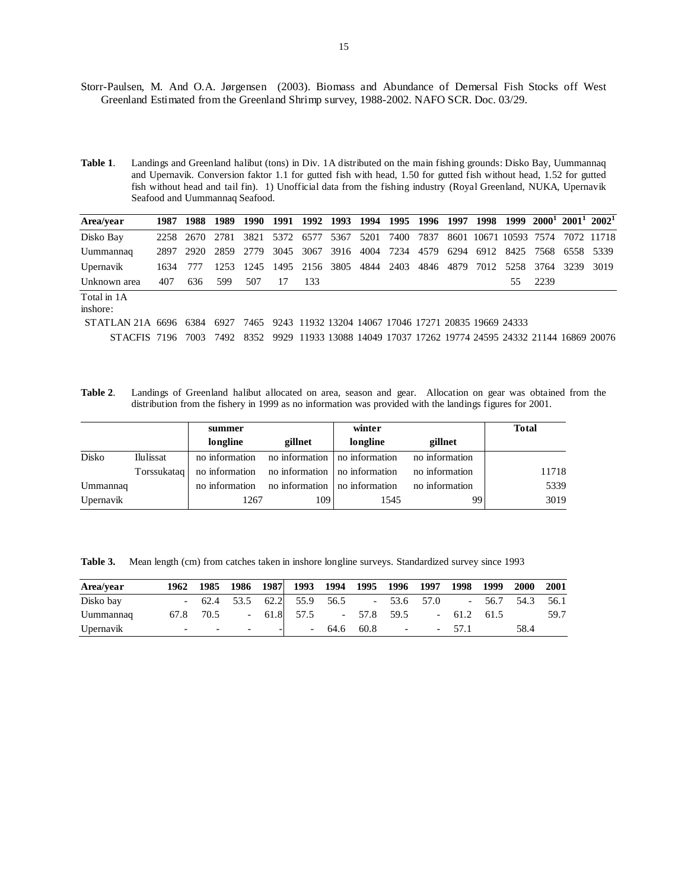- Storr-Paulsen, M. And O.A. Jørgensen (2003). Biomass and Abundance of Demersal Fish Stocks off West Greenland Estimated from the Greenland Shrimp survey, 1988-2002. NAFO SCR. Doc. 03/29.
- **Table 1**. Landings and Greenland halibut (tons) in Div. 1A distributed on the main fishing grounds: Disko Bay, Uummannaq and Upernavik. Conversion faktor 1.1 for gutted fish with head, 1.50 for gutted fish without head, 1.52 for gutted fish without head and tail fin). 1) Unofficial data from the fishing industry (Royal Greenland, NUKA, Upernavik Seafood and Uummannaq Seafood.

| Area/vear             | 1987 |      | 1988 1989 |      |    | 1990 1991 1992 1993 1994 1995 1996 1997                   |      |      |           |      |      | 1998 |                       |      |      | $1999$ $2000^1$ $2001^1$ $2002^1$                                      |
|-----------------------|------|------|-----------|------|----|-----------------------------------------------------------|------|------|-----------|------|------|------|-----------------------|------|------|------------------------------------------------------------------------|
| Disko Bay             | 2258 | 2670 | 2781      | 3821 |    | 5372 6577                                                 | 5367 | 5201 | 7400      | 7837 |      |      | 8601 10671 10593 7574 |      |      | 7072 11718                                                             |
| Uummannaq             | 2897 | 2920 | 2859      | 2779 |    | 3045 3067                                                 | 3916 | 4004 | 7234      | 4579 | 6294 | 6912 | 8425                  | 7568 | 6558 | - 5339                                                                 |
| Upernavik             | 1634 | 777  | 1253      | 1245 |    | 1495 2156 3805                                            |      |      | 4844 2403 | 4846 | 4879 | 7012 | 5258                  | 3764 | 3239 | 3019                                                                   |
| Unknown area          | 407  | 636  | 599       | 507  | 17 | 133                                                       |      |      |           |      |      |      | 55.                   | 2239 |      |                                                                        |
| Total in 1A           |      |      |           |      |    |                                                           |      |      |           |      |      |      |                       |      |      |                                                                        |
| inshore:              |      |      |           |      |    |                                                           |      |      |           |      |      |      |                       |      |      |                                                                        |
| STATLAN 21A 6696 6384 |      |      | 6927      |      |    | 7465 9243 11932 13204 14067 17046 17271 20835 19669 24333 |      |      |           |      |      |      |                       |      |      |                                                                        |
| STACFIS 7196          |      | 7003 | 7492      | 8352 |    |                                                           |      |      |           |      |      |      |                       |      |      | 9929 11933 13088 14049 17037 17262 19774 24595 24332 21144 16869 20076 |

**Table 2**. Landings of Greenland halibut allocated on area, season and gear. Allocation on gear was obtained from the distribution from the fishery in 1999 as no information was provided with the landings figures for 2001.

|           |           | summer                                                         |         | winter   |                | <b>Total</b> |
|-----------|-----------|----------------------------------------------------------------|---------|----------|----------------|--------------|
|           |           | longline                                                       | gillnet | longline | gillnet        |              |
| Disko     | Ilulissat | no information no information no information                   |         |          | no information |              |
|           |           | Torssukatag   no information   no information   no information |         |          | no information | 11718        |
| Ummannaq  |           | no information no information no information                   |         |          | no information | 5339         |
| Upernavik |           | 1267                                                           | 109     | 1545     | 99             | 3019         |

Table 3. Mean length (cm) from catches taken in inshore longline surveys. Standardized survey since 1993

| Area/vear | 1962                     |                                   |       | 1985 1986 1987  1993 1994 1995 1996 1997 1998 1999    |              |                |              | <b>2000</b> | 2001 |
|-----------|--------------------------|-----------------------------------|-------|-------------------------------------------------------|--------------|----------------|--------------|-------------|------|
| Disko bay | $\sim$                   |                                   |       | 62.4 53.5 62.2 55.9 56.5 - 53.6 57.0 - 56.7 54.3 56.1 |              |                |              |             |      |
| Uummannaq |                          | 67.8 70.5                         |       | $-61.8$ 57.5 $-57.8$ 59.5                             |              |                | $-61.2$ 61.5 |             | 59.7 |
| Upernavik | $\overline{\phantom{0}}$ | <b>Contract Contract Contract</b> | $  -$ |                                                       | $-64.6$ 60.8 | $\overline{a}$ | $-57.1$      | 58.4        |      |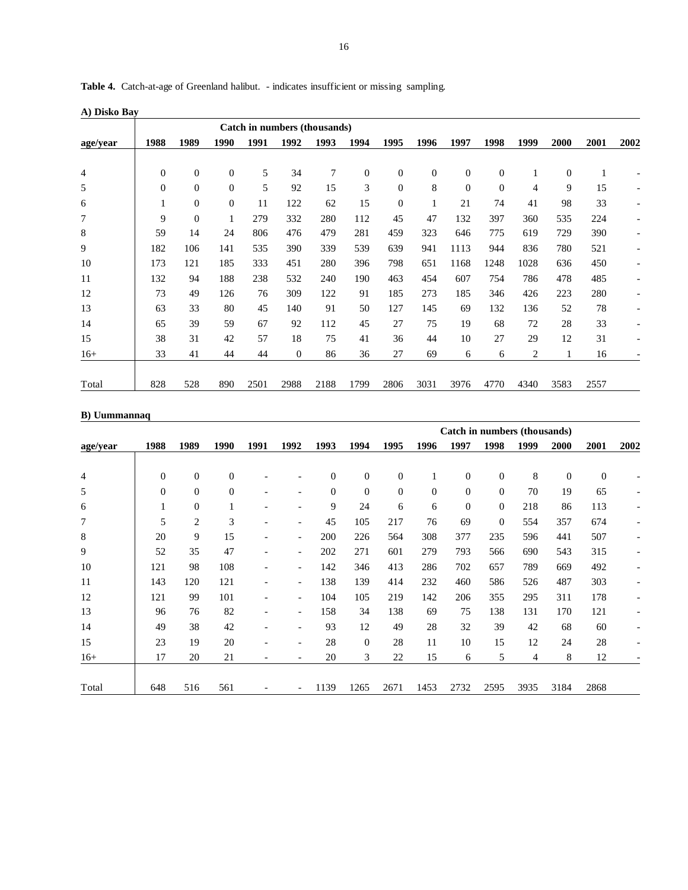| <b>Table 4.</b> Catch-at-age of Greenland halibut. - indicates insufficient or missing sampling. |  |  |
|--------------------------------------------------------------------------------------------------|--|--|
|                                                                                                  |  |  |

**A) Disko Bay** 

|          | Catch in numbers (thousands) |                |                  |      |              |                |      |                |              |                |                  |                |                |      |                          |
|----------|------------------------------|----------------|------------------|------|--------------|----------------|------|----------------|--------------|----------------|------------------|----------------|----------------|------|--------------------------|
| age/year | 1988                         | 1989           | 1990             | 1991 | 1992         | 1993           | 1994 | 1995           | 1996         | 1997           | 1998             | 1999           | 2000           | 2001 | 2002                     |
|          |                              |                |                  |      |              |                |      |                |              |                |                  |                |                |      |                          |
| 4        | $\boldsymbol{0}$             | $\overline{0}$ | $\boldsymbol{0}$ | 5    | 34           | $\overline{7}$ | 0    | $\mathbf{0}$   | $\mathbf{0}$ | $\overline{0}$ | 0                | 1              | $\overline{0}$ | 1    |                          |
| 5        | $\mathbf{0}$                 | $\mathbf{0}$   | $\theta$         | 5    | 92           | 15             | 3    | $\mathbf{0}$   | 8            | $\theta$       | $\boldsymbol{0}$ | $\overline{4}$ | 9              | 15   | -                        |
| 6        |                              | $\theta$       | $\theta$         | 11   | 122          | 62             | 15   | $\overline{0}$ |              | 21             | 74               | 41             | 98             | 33   | $\overline{\phantom{a}}$ |
| 7        | 9                            | $\overline{0}$ | 1                | 279  | 332          | 280            | 112  | 45             | 47           | 132            | 397              | 360            | 535            | 224  |                          |
| 8        | 59                           | 14             | 24               | 806  | 476          | 479            | 281  | 459            | 323          | 646            | 775              | 619            | 729            | 390  |                          |
| 9        | 182                          | 106            | 141              | 535  | 390          | 339            | 539  | 639            | 941          | 1113           | 944              | 836            | 780            | 521  |                          |
| 10       | 173                          | 121            | 185              | 333  | 451          | 280            | 396  | 798            | 651          | 1168           | 1248             | 1028           | 636            | 450  |                          |
| 11       | 132                          | 94             | 188              | 238  | 532          | 240            | 190  | 463            | 454          | 607            | 754              | 786            | 478            | 485  |                          |
| 12       | 73                           | 49             | 126              | 76   | 309          | 122            | 91   | 185            | 273          | 185            | 346              | 426            | 223            | 280  |                          |
| 13       | 63                           | 33             | 80               | 45   | 140          | 91             | 50   | 127            | 145          | 69             | 132              | 136            | 52             | 78   |                          |
| 14       | 65                           | 39             | 59               | 67   | 92           | 112            | 45   | 27             | 75           | 19             | 68               | 72             | 28             | 33   |                          |
| 15       | 38                           | 31             | 42               | 57   | 18           | 75             | 41   | 36             | 44           | 10             | 27               | 29             | 12             | 31   |                          |
| $16+$    | 33                           | 41             | 44               | 44   | $\mathbf{0}$ | 86             | 36   | 27             | 69           | 6              | 6                | 2              |                | 16   |                          |
| Total    | 828                          | 528            | 890              | 2501 | 2988         | 2188           | 1799 | 2806           | 3031         | 3976           | 4770             | 4340           | 3583           | 2557 |                          |

# **B) Uummannaq**

|          |                  |                  |                  |      |                          |              |                  |                  |                | Catch in numbers (thousands) |                  |      |                |                  |                          |
|----------|------------------|------------------|------------------|------|--------------------------|--------------|------------------|------------------|----------------|------------------------------|------------------|------|----------------|------------------|--------------------------|
| age/year | 1988             | 1989             | 1990             | 1991 | 1992                     | 1993         | 1994             | 1995             | 1996           | 1997                         | 1998             | 1999 | 2000           | 2001             | 2002                     |
|          |                  |                  |                  |      |                          |              |                  |                  |                |                              |                  |      |                |                  |                          |
| 4        | $\boldsymbol{0}$ | $\boldsymbol{0}$ | $\mathbf{0}$     |      |                          | $\mathbf{0}$ | $\mathbf{0}$     | $\boldsymbol{0}$ |                | $\boldsymbol{0}$             | 0                | 8    | $\overline{0}$ | $\boldsymbol{0}$ |                          |
| 5        | $\boldsymbol{0}$ | $\boldsymbol{0}$ | $\boldsymbol{0}$ |      |                          | $\mathbf{0}$ | $\boldsymbol{0}$ | $\mathbf{0}$     | $\overline{0}$ | $\boldsymbol{0}$             | $\boldsymbol{0}$ | 70   | 19             | 65               |                          |
| 6        |                  | $\boldsymbol{0}$ | 1                |      | $\overline{\phantom{a}}$ | 9            | 24               | 6                | 6              | $\boldsymbol{0}$             | $\boldsymbol{0}$ | 218  | 86             | 113              |                          |
| 7        | 5                | $\overline{c}$   | 3                |      | $\overline{\phantom{a}}$ | 45           | 105              | 217              | 76             | 69                           | $\overline{0}$   | 554  | 357            | 674              |                          |
| 8        | 20               | 9                | 15               |      | $\overline{\phantom{a}}$ | 200          | 226              | 564              | 308            | 377                          | 235              | 596  | 441            | 507              |                          |
| 9        | 52               | 35               | 47               |      | $\overline{\phantom{a}}$ | 202          | 271              | 601              | 279            | 793                          | 566              | 690  | 543            | 315              |                          |
| 10       | 121              | 98               | 108              |      | $\overline{\phantom{a}}$ | 142          | 346              | 413              | 286            | 702                          | 657              | 789  | 669            | 492              |                          |
| 11       | 143              | 120              | 121              |      | $\overline{\phantom{a}}$ | 138          | 139              | 414              | 232            | 460                          | 586              | 526  | 487            | 303              |                          |
| 12       | 121              | 99               | 101              |      | $\overline{\phantom{a}}$ | 104          | 105              | 219              | 142            | 206                          | 355              | 295  | 311            | 178              |                          |
| 13       | 96               | 76               | 82               |      | $\overline{\phantom{a}}$ | 158          | 34               | 138              | 69             | 75                           | 138              | 131  | 170            | 121              | $\overline{\phantom{a}}$ |
| 14       | 49               | 38               | 42               |      | $\overline{\phantom{a}}$ | 93           | 12               | 49               | 28             | 32                           | 39               | 42   | 68             | 60               |                          |
| 15       | 23               | 19               | 20               |      | $\overline{\phantom{a}}$ | 28           | $\mathbf{0}$     | 28               | 11             | 10                           | 15               | 12   | 24             | 28               |                          |
| $16+$    | 17               | 20               | 21               |      | $\overline{\phantom{a}}$ | 20           | 3                | 22               | 15             | 6                            | 5                | 4    | 8              | 12               |                          |
|          |                  |                  |                  |      |                          |              |                  |                  |                |                              |                  |      |                |                  |                          |
| Total    | 648              | 516              | 561              |      | $\overline{\phantom{a}}$ | 1139         | 1265             | 2671             | 1453           | 2732                         | 2595             | 3935 | 3184           | 2868             |                          |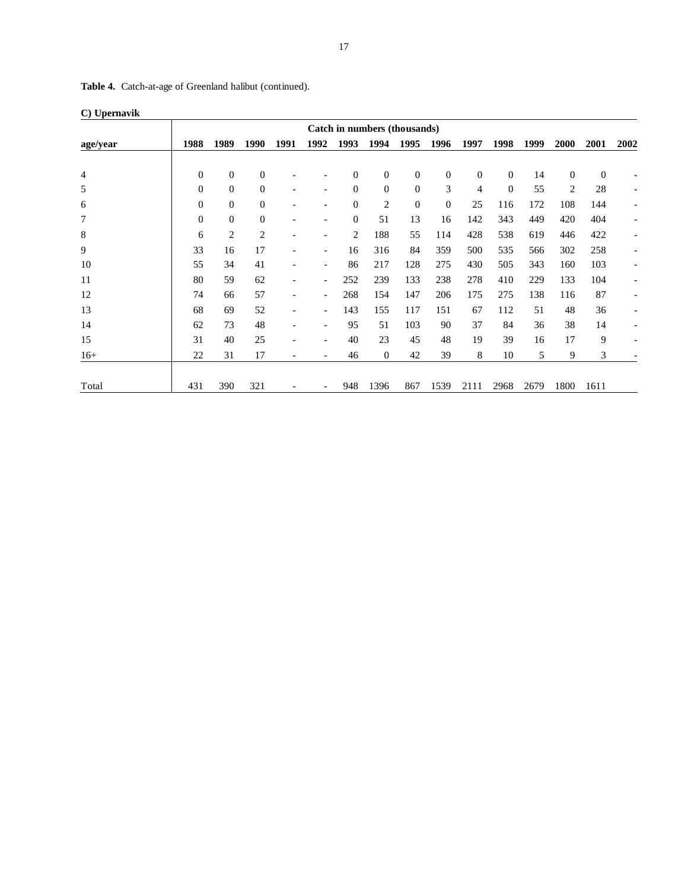| $\cup$ Uptinavin<br>Catch in numbers (thousands) |                  |                  |                  |                          |                          |              |                |                |                  |                  |                |      |                  |                  |                          |
|--------------------------------------------------|------------------|------------------|------------------|--------------------------|--------------------------|--------------|----------------|----------------|------------------|------------------|----------------|------|------------------|------------------|--------------------------|
| age/year                                         | 1988             | 1989             | 1990             | 1991                     | 1992                     | 1993         | 1994           | 1995           | 1996             | 1997             | 1998           | 1999 | 2000             | 2001             | 2002                     |
|                                                  |                  |                  |                  |                          |                          |              |                |                |                  |                  |                |      |                  |                  |                          |
| 4                                                | $\boldsymbol{0}$ | $\boldsymbol{0}$ | $\boldsymbol{0}$ |                          |                          | $\theta$     | $\mathbf{0}$   | 0              | $\boldsymbol{0}$ | $\boldsymbol{0}$ | $\mathbf{0}$   | 14   | $\boldsymbol{0}$ | $\boldsymbol{0}$ |                          |
| 5                                                | $\boldsymbol{0}$ | $\boldsymbol{0}$ | $\boldsymbol{0}$ | $\overline{\phantom{a}}$ |                          | $\theta$     | $\overline{0}$ | $\overline{0}$ | 3                | 4                | $\overline{0}$ | 55   | 2                | 28               | $\overline{\phantom{a}}$ |
| 6                                                | $\boldsymbol{0}$ | $\boldsymbol{0}$ | $\boldsymbol{0}$ |                          |                          | $\mathbf{0}$ | 2              | $\overline{0}$ | $\Omega$         | 25               | 116            | 172  | 108              | 144              | $\overline{\phantom{a}}$ |
| 7                                                | $\overline{0}$   | $\mathbf{0}$     | $\mathbf{0}$     | $\overline{\phantom{a}}$ |                          | $\Omega$     | 51             | 13             | 16               | 142              | 343            | 449  | 420              | 404              | $\overline{\phantom{a}}$ |
| 8                                                | 6                | $\overline{2}$   | 2                | ۰                        |                          | 2            | 188            | 55             | 114              | 428              | 538            | 619  | 446              | 422              | $\overline{\phantom{a}}$ |
| 9                                                | 33               | 16               | 17               | ٠                        | $\overline{\phantom{a}}$ | 16           | 316            | 84             | 359              | 500              | 535            | 566  | 302              | 258              | $\overline{\phantom{a}}$ |
| 10                                               | 55               | 34               | 41               | $\overline{a}$           | $\overline{\phantom{a}}$ | 86           | 217            | 128            | 275              | 430              | 505            | 343  | 160              | 103              |                          |
| 11                                               | 80               | 59               | 62               | ٠                        | $\overline{\phantom{a}}$ | 252          | 239            | 133            | 238              | 278              | 410            | 229  | 133              | 104              | $\overline{\phantom{a}}$ |
| 12                                               | 74               | 66               | 57               | $\overline{\phantom{a}}$ | $\overline{\phantom{a}}$ | 268          | 154            | 147            | 206              | 175              | 275            | 138  | 116              | 87               | $\overline{\phantom{a}}$ |
| 13                                               | 68               | 69               | 52               | $\overline{\phantom{a}}$ | $\overline{\phantom{a}}$ | 143          | 155            | 117            | 151              | 67               | 112            | 51   | 48               | 36               |                          |
| 14                                               | 62               | 73               | 48               |                          |                          | 95           | 51             | 103            | 90               | 37               | 84             | 36   | 38               | 14               |                          |
| 15                                               | 31               | 40               | 25               |                          |                          | 40           | 23             | 45             | 48               | 19               | 39             | 16   | 17               | 9                |                          |
| $16+$                                            | 22               | 31               | 17               | $\overline{a}$           |                          | 46           | $\mathbf{0}$   | 42             | 39               | 8                | 10             | 5    | 9                | 3                |                          |
| Total                                            | 431              | 390              | 321              |                          | -                        | 948          | 1396           | 867            | 1539             | 2111             | 2968           | 2679 | 1800             | 1611             |                          |

**Table 4.** Catch-at-age of Greenland halibut (continued).

|  | C) Upernavik |
|--|--------------|
|--|--------------|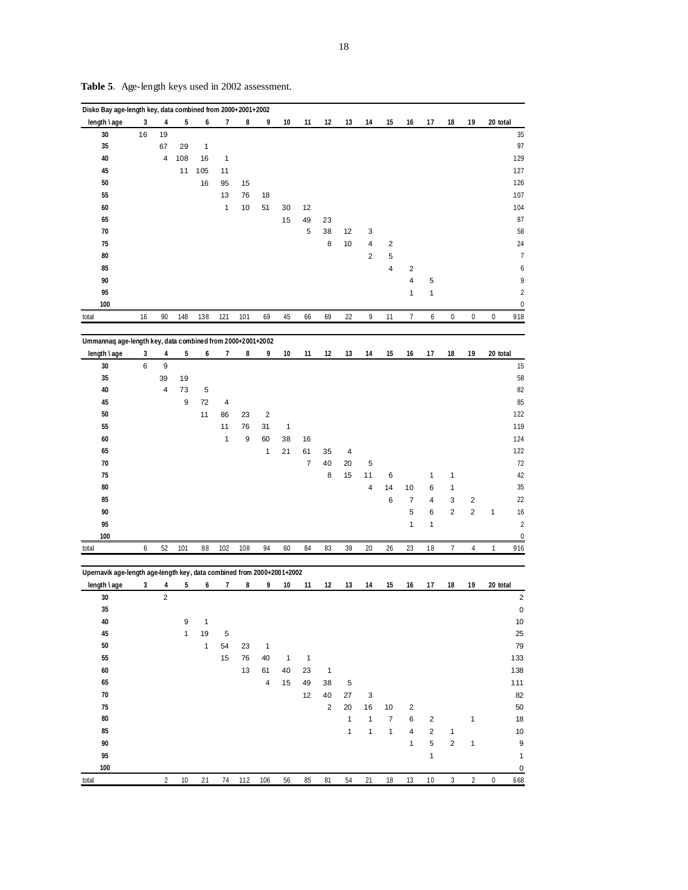| 3<br>5<br>7<br>9<br>19<br>20 total<br>4<br>6<br>8<br>10<br>11<br>12<br>13<br>14<br>15<br>17<br>18<br>16<br>30<br>16<br>19<br>35<br>67<br>29<br>1<br>4<br>40<br>108<br>16<br>$\mathbf{1}$<br>45<br>105<br>11<br>11<br>50<br>16<br>95<br>15<br>55<br>13<br>76<br>18<br>$\mathbf{1}$<br>51<br>60<br>10<br>30<br>12<br>65<br>15<br>49<br>23<br>70<br>5<br>38<br>12<br>3<br>$\overline{\mathbf{4}}$<br>75<br>8<br>10<br>$\overline{\mathbf{c}}$<br>80<br>$\sqrt{2}$<br>5<br>85<br>$\overline{\mathbf{4}}$<br>$\overline{\mathbf{c}}$<br>90<br>$\overline{\mathbf{4}}$<br>5<br>95<br>$\mathbf{1}$<br>1<br>100<br>$\overline{7}$<br>6<br>90<br>138<br>101<br>69<br>45<br>66<br>69<br>22<br>9<br>$\boldsymbol{0}$<br>$\pmb{0}$<br>$\pmb{0}$<br>16<br>148<br>121<br>11<br>Ummannaq age-length key, data combined from 2000+2001+2002<br>5<br>7<br>19<br>20 total<br>3<br>4<br>6<br>8<br>9<br>10<br>11<br>12<br>13<br>14<br>15<br>16<br>17<br>18<br>30<br>6<br>$\boldsymbol{9}$<br>35<br>39<br>19<br>4<br>73<br>5<br>40<br>9<br>45<br>72<br>4<br>50<br>11<br>86<br>23<br>$\overline{2}$<br>11<br>31<br>55<br>76<br>$\mathbf{1}$<br>$\mathbf{1}$<br>$\boldsymbol{9}$<br>60<br>60<br>38<br>16<br>65<br>$\mathbf{1}$<br>21<br>61<br>35<br>4<br>$\boldsymbol{7}$<br>70<br>40<br>20<br>5<br>75<br>8<br>15<br>11<br>1<br>1<br>6<br>80<br>$\overline{4}$<br>14<br>10<br>6<br>1<br>85<br>6<br>$\overline{2}$<br>7<br>4<br>3<br>$\sqrt{2}$<br>5<br>$\overline{\mathbf{c}}$<br>90<br>6<br>$\mathbf{1}$<br>95<br>$\mathbf{1}$<br>1<br>100<br>52<br>101<br>108<br>84<br>23<br>6<br>88<br>102<br>94<br>60<br>83<br>39<br>20<br>26<br>18<br>$\overline{7}$<br>$\overline{4}$<br>1<br>total<br>Upernavik age-length age-length key, data combined from 2000+2001+2002<br>length \ age<br>5<br>9<br>10<br>12<br>15<br>19<br>20 total<br>3<br>4<br>7<br>8<br>11<br>13<br>14<br>16<br>17<br>18<br>6<br>$\overline{\mathbf{c}}$<br>30<br>35<br>${\bf 40}$<br>$\boldsymbol{9}$<br>$\mathbf{1}$<br>45<br>$\mathbf{1}$<br>19<br>$\mathbf 5$<br>$50\,$<br>$\mathbf{1}$<br>54<br>23<br>$\mathbf{1}$<br>55<br>15<br>76<br>40<br>$\overline{1}$<br>$\overline{1}$<br>$\bf 60$<br>13<br>61<br>40<br>23<br>$\mathbf{1}$<br>65<br>$\overline{a}$<br>15<br>49<br>38<br>5<br>$70\,$<br>12<br>40<br>$27\,$<br>$\ensuremath{\mathsf{3}}$<br>75<br>$\sqrt{2}$<br>$20\,$<br>16<br>$10$<br>$\sqrt{2}$<br>80<br>$\mathbf{1}$<br>$\mathbf{1}$<br>$\boldsymbol{7}$<br>$\,6\,$<br>$\mathbf{1}$<br>2<br>85<br>$\mathbf{1}$<br>$\mathbf{1}$<br>$\overline{4}$<br>$\mathbf{1}$<br>2<br>$\mathbf{1}$<br>5<br>$90\,$<br>$\sqrt{2}$<br>$\mathbf{1}$<br>$\mathbf{1}$<br>95<br>$\mathbf{1}$<br>100 | Disko Bay age-length key, data combined from 2000+2001+2002 |                |    |    |  |     |    |    |    |    |    |    |    |      |            |                |   |                       |
|------------------------------------------------------------------------------------------------------------------------------------------------------------------------------------------------------------------------------------------------------------------------------------------------------------------------------------------------------------------------------------------------------------------------------------------------------------------------------------------------------------------------------------------------------------------------------------------------------------------------------------------------------------------------------------------------------------------------------------------------------------------------------------------------------------------------------------------------------------------------------------------------------------------------------------------------------------------------------------------------------------------------------------------------------------------------------------------------------------------------------------------------------------------------------------------------------------------------------------------------------------------------------------------------------------------------------------------------------------------------------------------------------------------------------------------------------------------------------------------------------------------------------------------------------------------------------------------------------------------------------------------------------------------------------------------------------------------------------------------------------------------------------------------------------------------------------------------------------------------------------------------------------------------------------------------------------------------------------------------------------------------------------------------------------------------------------------------------------------------------------------------------------------------------------------------------------------------------------------------------------------------------------------------------------------------------------------------------------------------------------------------------------------------------------------------------------------------------------------------------------------------------------------------------------------------------------------------------------------------------------------------|-------------------------------------------------------------|----------------|----|----|--|-----|----|----|----|----|----|----|----|------|------------|----------------|---|-----------------------|
|                                                                                                                                                                                                                                                                                                                                                                                                                                                                                                                                                                                                                                                                                                                                                                                                                                                                                                                                                                                                                                                                                                                                                                                                                                                                                                                                                                                                                                                                                                                                                                                                                                                                                                                                                                                                                                                                                                                                                                                                                                                                                                                                                                                                                                                                                                                                                                                                                                                                                                                                                                                                                                          | length \age                                                 |                |    |    |  |     |    |    |    |    |    |    |    |      |            |                |   |                       |
|                                                                                                                                                                                                                                                                                                                                                                                                                                                                                                                                                                                                                                                                                                                                                                                                                                                                                                                                                                                                                                                                                                                                                                                                                                                                                                                                                                                                                                                                                                                                                                                                                                                                                                                                                                                                                                                                                                                                                                                                                                                                                                                                                                                                                                                                                                                                                                                                                                                                                                                                                                                                                                          |                                                             |                |    |    |  |     |    |    |    |    |    |    |    |      |            |                |   | 35                    |
|                                                                                                                                                                                                                                                                                                                                                                                                                                                                                                                                                                                                                                                                                                                                                                                                                                                                                                                                                                                                                                                                                                                                                                                                                                                                                                                                                                                                                                                                                                                                                                                                                                                                                                                                                                                                                                                                                                                                                                                                                                                                                                                                                                                                                                                                                                                                                                                                                                                                                                                                                                                                                                          |                                                             |                |    |    |  |     |    |    |    |    |    |    |    |      |            |                |   | 97                    |
|                                                                                                                                                                                                                                                                                                                                                                                                                                                                                                                                                                                                                                                                                                                                                                                                                                                                                                                                                                                                                                                                                                                                                                                                                                                                                                                                                                                                                                                                                                                                                                                                                                                                                                                                                                                                                                                                                                                                                                                                                                                                                                                                                                                                                                                                                                                                                                                                                                                                                                                                                                                                                                          |                                                             |                |    |    |  |     |    |    |    |    |    |    |    |      |            |                |   | 129                   |
|                                                                                                                                                                                                                                                                                                                                                                                                                                                                                                                                                                                                                                                                                                                                                                                                                                                                                                                                                                                                                                                                                                                                                                                                                                                                                                                                                                                                                                                                                                                                                                                                                                                                                                                                                                                                                                                                                                                                                                                                                                                                                                                                                                                                                                                                                                                                                                                                                                                                                                                                                                                                                                          |                                                             |                |    |    |  |     |    |    |    |    |    |    |    |      |            |                |   | 127                   |
|                                                                                                                                                                                                                                                                                                                                                                                                                                                                                                                                                                                                                                                                                                                                                                                                                                                                                                                                                                                                                                                                                                                                                                                                                                                                                                                                                                                                                                                                                                                                                                                                                                                                                                                                                                                                                                                                                                                                                                                                                                                                                                                                                                                                                                                                                                                                                                                                                                                                                                                                                                                                                                          |                                                             |                |    |    |  |     |    |    |    |    |    |    |    |      |            |                |   | 126                   |
|                                                                                                                                                                                                                                                                                                                                                                                                                                                                                                                                                                                                                                                                                                                                                                                                                                                                                                                                                                                                                                                                                                                                                                                                                                                                                                                                                                                                                                                                                                                                                                                                                                                                                                                                                                                                                                                                                                                                                                                                                                                                                                                                                                                                                                                                                                                                                                                                                                                                                                                                                                                                                                          |                                                             |                |    |    |  |     |    |    |    |    |    |    |    |      |            |                |   | 107                   |
|                                                                                                                                                                                                                                                                                                                                                                                                                                                                                                                                                                                                                                                                                                                                                                                                                                                                                                                                                                                                                                                                                                                                                                                                                                                                                                                                                                                                                                                                                                                                                                                                                                                                                                                                                                                                                                                                                                                                                                                                                                                                                                                                                                                                                                                                                                                                                                                                                                                                                                                                                                                                                                          |                                                             |                |    |    |  |     |    |    |    |    |    |    |    |      |            |                |   | 104                   |
|                                                                                                                                                                                                                                                                                                                                                                                                                                                                                                                                                                                                                                                                                                                                                                                                                                                                                                                                                                                                                                                                                                                                                                                                                                                                                                                                                                                                                                                                                                                                                                                                                                                                                                                                                                                                                                                                                                                                                                                                                                                                                                                                                                                                                                                                                                                                                                                                                                                                                                                                                                                                                                          |                                                             |                |    |    |  |     |    |    |    |    |    |    |    |      |            |                |   | 87                    |
|                                                                                                                                                                                                                                                                                                                                                                                                                                                                                                                                                                                                                                                                                                                                                                                                                                                                                                                                                                                                                                                                                                                                                                                                                                                                                                                                                                                                                                                                                                                                                                                                                                                                                                                                                                                                                                                                                                                                                                                                                                                                                                                                                                                                                                                                                                                                                                                                                                                                                                                                                                                                                                          |                                                             |                |    |    |  |     |    |    |    |    |    |    |    |      |            |                |   | 58                    |
|                                                                                                                                                                                                                                                                                                                                                                                                                                                                                                                                                                                                                                                                                                                                                                                                                                                                                                                                                                                                                                                                                                                                                                                                                                                                                                                                                                                                                                                                                                                                                                                                                                                                                                                                                                                                                                                                                                                                                                                                                                                                                                                                                                                                                                                                                                                                                                                                                                                                                                                                                                                                                                          |                                                             |                |    |    |  |     |    |    |    |    |    |    |    |      |            |                |   |                       |
|                                                                                                                                                                                                                                                                                                                                                                                                                                                                                                                                                                                                                                                                                                                                                                                                                                                                                                                                                                                                                                                                                                                                                                                                                                                                                                                                                                                                                                                                                                                                                                                                                                                                                                                                                                                                                                                                                                                                                                                                                                                                                                                                                                                                                                                                                                                                                                                                                                                                                                                                                                                                                                          |                                                             |                |    |    |  |     |    |    |    |    |    |    |    |      |            |                |   | 24                    |
|                                                                                                                                                                                                                                                                                                                                                                                                                                                                                                                                                                                                                                                                                                                                                                                                                                                                                                                                                                                                                                                                                                                                                                                                                                                                                                                                                                                                                                                                                                                                                                                                                                                                                                                                                                                                                                                                                                                                                                                                                                                                                                                                                                                                                                                                                                                                                                                                                                                                                                                                                                                                                                          |                                                             |                |    |    |  |     |    |    |    |    |    |    |    |      |            |                |   | $\overline{7}$        |
|                                                                                                                                                                                                                                                                                                                                                                                                                                                                                                                                                                                                                                                                                                                                                                                                                                                                                                                                                                                                                                                                                                                                                                                                                                                                                                                                                                                                                                                                                                                                                                                                                                                                                                                                                                                                                                                                                                                                                                                                                                                                                                                                                                                                                                                                                                                                                                                                                                                                                                                                                                                                                                          |                                                             |                |    |    |  |     |    |    |    |    |    |    |    |      |            |                |   | 6                     |
|                                                                                                                                                                                                                                                                                                                                                                                                                                                                                                                                                                                                                                                                                                                                                                                                                                                                                                                                                                                                                                                                                                                                                                                                                                                                                                                                                                                                                                                                                                                                                                                                                                                                                                                                                                                                                                                                                                                                                                                                                                                                                                                                                                                                                                                                                                                                                                                                                                                                                                                                                                                                                                          |                                                             |                |    |    |  |     |    |    |    |    |    |    |    |      |            |                |   | 9                     |
|                                                                                                                                                                                                                                                                                                                                                                                                                                                                                                                                                                                                                                                                                                                                                                                                                                                                                                                                                                                                                                                                                                                                                                                                                                                                                                                                                                                                                                                                                                                                                                                                                                                                                                                                                                                                                                                                                                                                                                                                                                                                                                                                                                                                                                                                                                                                                                                                                                                                                                                                                                                                                                          |                                                             |                |    |    |  |     |    |    |    |    |    |    |    |      |            |                |   | $\overline{c}$        |
|                                                                                                                                                                                                                                                                                                                                                                                                                                                                                                                                                                                                                                                                                                                                                                                                                                                                                                                                                                                                                                                                                                                                                                                                                                                                                                                                                                                                                                                                                                                                                                                                                                                                                                                                                                                                                                                                                                                                                                                                                                                                                                                                                                                                                                                                                                                                                                                                                                                                                                                                                                                                                                          |                                                             |                |    |    |  |     |    |    |    |    |    |    |    |      |            |                |   | $\boldsymbol{0}$      |
|                                                                                                                                                                                                                                                                                                                                                                                                                                                                                                                                                                                                                                                                                                                                                                                                                                                                                                                                                                                                                                                                                                                                                                                                                                                                                                                                                                                                                                                                                                                                                                                                                                                                                                                                                                                                                                                                                                                                                                                                                                                                                                                                                                                                                                                                                                                                                                                                                                                                                                                                                                                                                                          | total                                                       |                |    |    |  |     |    |    |    |    |    |    |    |      |            |                |   | 918                   |
|                                                                                                                                                                                                                                                                                                                                                                                                                                                                                                                                                                                                                                                                                                                                                                                                                                                                                                                                                                                                                                                                                                                                                                                                                                                                                                                                                                                                                                                                                                                                                                                                                                                                                                                                                                                                                                                                                                                                                                                                                                                                                                                                                                                                                                                                                                                                                                                                                                                                                                                                                                                                                                          |                                                             |                |    |    |  |     |    |    |    |    |    |    |    |      |            |                |   |                       |
|                                                                                                                                                                                                                                                                                                                                                                                                                                                                                                                                                                                                                                                                                                                                                                                                                                                                                                                                                                                                                                                                                                                                                                                                                                                                                                                                                                                                                                                                                                                                                                                                                                                                                                                                                                                                                                                                                                                                                                                                                                                                                                                                                                                                                                                                                                                                                                                                                                                                                                                                                                                                                                          |                                                             |                |    |    |  |     |    |    |    |    |    |    |    |      |            |                |   |                       |
|                                                                                                                                                                                                                                                                                                                                                                                                                                                                                                                                                                                                                                                                                                                                                                                                                                                                                                                                                                                                                                                                                                                                                                                                                                                                                                                                                                                                                                                                                                                                                                                                                                                                                                                                                                                                                                                                                                                                                                                                                                                                                                                                                                                                                                                                                                                                                                                                                                                                                                                                                                                                                                          | length \age                                                 |                |    |    |  |     |    |    |    |    |    |    |    |      |            |                |   |                       |
|                                                                                                                                                                                                                                                                                                                                                                                                                                                                                                                                                                                                                                                                                                                                                                                                                                                                                                                                                                                                                                                                                                                                                                                                                                                                                                                                                                                                                                                                                                                                                                                                                                                                                                                                                                                                                                                                                                                                                                                                                                                                                                                                                                                                                                                                                                                                                                                                                                                                                                                                                                                                                                          |                                                             |                |    |    |  |     |    |    |    |    |    |    |    |      |            |                |   | 15                    |
|                                                                                                                                                                                                                                                                                                                                                                                                                                                                                                                                                                                                                                                                                                                                                                                                                                                                                                                                                                                                                                                                                                                                                                                                                                                                                                                                                                                                                                                                                                                                                                                                                                                                                                                                                                                                                                                                                                                                                                                                                                                                                                                                                                                                                                                                                                                                                                                                                                                                                                                                                                                                                                          |                                                             |                |    |    |  |     |    |    |    |    |    |    |    |      |            |                |   | 58                    |
|                                                                                                                                                                                                                                                                                                                                                                                                                                                                                                                                                                                                                                                                                                                                                                                                                                                                                                                                                                                                                                                                                                                                                                                                                                                                                                                                                                                                                                                                                                                                                                                                                                                                                                                                                                                                                                                                                                                                                                                                                                                                                                                                                                                                                                                                                                                                                                                                                                                                                                                                                                                                                                          |                                                             |                |    |    |  |     |    |    |    |    |    |    |    |      |            |                |   | 82                    |
|                                                                                                                                                                                                                                                                                                                                                                                                                                                                                                                                                                                                                                                                                                                                                                                                                                                                                                                                                                                                                                                                                                                                                                                                                                                                                                                                                                                                                                                                                                                                                                                                                                                                                                                                                                                                                                                                                                                                                                                                                                                                                                                                                                                                                                                                                                                                                                                                                                                                                                                                                                                                                                          |                                                             |                |    |    |  |     |    |    |    |    |    |    |    |      |            |                |   | 85                    |
|                                                                                                                                                                                                                                                                                                                                                                                                                                                                                                                                                                                                                                                                                                                                                                                                                                                                                                                                                                                                                                                                                                                                                                                                                                                                                                                                                                                                                                                                                                                                                                                                                                                                                                                                                                                                                                                                                                                                                                                                                                                                                                                                                                                                                                                                                                                                                                                                                                                                                                                                                                                                                                          |                                                             |                |    |    |  |     |    |    |    |    |    |    |    |      |            |                |   | 122                   |
|                                                                                                                                                                                                                                                                                                                                                                                                                                                                                                                                                                                                                                                                                                                                                                                                                                                                                                                                                                                                                                                                                                                                                                                                                                                                                                                                                                                                                                                                                                                                                                                                                                                                                                                                                                                                                                                                                                                                                                                                                                                                                                                                                                                                                                                                                                                                                                                                                                                                                                                                                                                                                                          |                                                             |                |    |    |  |     |    |    |    |    |    |    |    |      |            |                |   | 119                   |
|                                                                                                                                                                                                                                                                                                                                                                                                                                                                                                                                                                                                                                                                                                                                                                                                                                                                                                                                                                                                                                                                                                                                                                                                                                                                                                                                                                                                                                                                                                                                                                                                                                                                                                                                                                                                                                                                                                                                                                                                                                                                                                                                                                                                                                                                                                                                                                                                                                                                                                                                                                                                                                          |                                                             |                |    |    |  |     |    |    |    |    |    |    |    |      |            |                |   | 124                   |
|                                                                                                                                                                                                                                                                                                                                                                                                                                                                                                                                                                                                                                                                                                                                                                                                                                                                                                                                                                                                                                                                                                                                                                                                                                                                                                                                                                                                                                                                                                                                                                                                                                                                                                                                                                                                                                                                                                                                                                                                                                                                                                                                                                                                                                                                                                                                                                                                                                                                                                                                                                                                                                          |                                                             |                |    |    |  |     |    |    |    |    |    |    |    |      |            |                |   | 122                   |
|                                                                                                                                                                                                                                                                                                                                                                                                                                                                                                                                                                                                                                                                                                                                                                                                                                                                                                                                                                                                                                                                                                                                                                                                                                                                                                                                                                                                                                                                                                                                                                                                                                                                                                                                                                                                                                                                                                                                                                                                                                                                                                                                                                                                                                                                                                                                                                                                                                                                                                                                                                                                                                          |                                                             |                |    |    |  |     |    |    |    |    |    |    |    |      |            |                |   | 72                    |
|                                                                                                                                                                                                                                                                                                                                                                                                                                                                                                                                                                                                                                                                                                                                                                                                                                                                                                                                                                                                                                                                                                                                                                                                                                                                                                                                                                                                                                                                                                                                                                                                                                                                                                                                                                                                                                                                                                                                                                                                                                                                                                                                                                                                                                                                                                                                                                                                                                                                                                                                                                                                                                          |                                                             |                |    |    |  |     |    |    |    |    |    |    |    |      |            |                |   | 42                    |
|                                                                                                                                                                                                                                                                                                                                                                                                                                                                                                                                                                                                                                                                                                                                                                                                                                                                                                                                                                                                                                                                                                                                                                                                                                                                                                                                                                                                                                                                                                                                                                                                                                                                                                                                                                                                                                                                                                                                                                                                                                                                                                                                                                                                                                                                                                                                                                                                                                                                                                                                                                                                                                          |                                                             |                |    |    |  |     |    |    |    |    |    |    |    |      |            |                |   | 35                    |
|                                                                                                                                                                                                                                                                                                                                                                                                                                                                                                                                                                                                                                                                                                                                                                                                                                                                                                                                                                                                                                                                                                                                                                                                                                                                                                                                                                                                                                                                                                                                                                                                                                                                                                                                                                                                                                                                                                                                                                                                                                                                                                                                                                                                                                                                                                                                                                                                                                                                                                                                                                                                                                          |                                                             |                |    |    |  |     |    |    |    |    |    |    |    |      |            |                |   | 22                    |
|                                                                                                                                                                                                                                                                                                                                                                                                                                                                                                                                                                                                                                                                                                                                                                                                                                                                                                                                                                                                                                                                                                                                                                                                                                                                                                                                                                                                                                                                                                                                                                                                                                                                                                                                                                                                                                                                                                                                                                                                                                                                                                                                                                                                                                                                                                                                                                                                                                                                                                                                                                                                                                          |                                                             |                |    |    |  |     |    |    |    |    |    |    |    |      |            |                |   | 16                    |
|                                                                                                                                                                                                                                                                                                                                                                                                                                                                                                                                                                                                                                                                                                                                                                                                                                                                                                                                                                                                                                                                                                                                                                                                                                                                                                                                                                                                                                                                                                                                                                                                                                                                                                                                                                                                                                                                                                                                                                                                                                                                                                                                                                                                                                                                                                                                                                                                                                                                                                                                                                                                                                          |                                                             |                |    |    |  |     |    |    |    |    |    |    |    |      |            |                |   | $\overline{c}$        |
|                                                                                                                                                                                                                                                                                                                                                                                                                                                                                                                                                                                                                                                                                                                                                                                                                                                                                                                                                                                                                                                                                                                                                                                                                                                                                                                                                                                                                                                                                                                                                                                                                                                                                                                                                                                                                                                                                                                                                                                                                                                                                                                                                                                                                                                                                                                                                                                                                                                                                                                                                                                                                                          |                                                             |                |    |    |  |     |    |    |    |    |    |    |    |      |            |                |   | $\pmb{0}$             |
|                                                                                                                                                                                                                                                                                                                                                                                                                                                                                                                                                                                                                                                                                                                                                                                                                                                                                                                                                                                                                                                                                                                                                                                                                                                                                                                                                                                                                                                                                                                                                                                                                                                                                                                                                                                                                                                                                                                                                                                                                                                                                                                                                                                                                                                                                                                                                                                                                                                                                                                                                                                                                                          |                                                             |                |    |    |  |     |    |    |    |    |    |    |    |      |            |                |   | 916                   |
|                                                                                                                                                                                                                                                                                                                                                                                                                                                                                                                                                                                                                                                                                                                                                                                                                                                                                                                                                                                                                                                                                                                                                                                                                                                                                                                                                                                                                                                                                                                                                                                                                                                                                                                                                                                                                                                                                                                                                                                                                                                                                                                                                                                                                                                                                                                                                                                                                                                                                                                                                                                                                                          |                                                             |                |    |    |  |     |    |    |    |    |    |    |    |      |            |                |   |                       |
|                                                                                                                                                                                                                                                                                                                                                                                                                                                                                                                                                                                                                                                                                                                                                                                                                                                                                                                                                                                                                                                                                                                                                                                                                                                                                                                                                                                                                                                                                                                                                                                                                                                                                                                                                                                                                                                                                                                                                                                                                                                                                                                                                                                                                                                                                                                                                                                                                                                                                                                                                                                                                                          |                                                             |                |    |    |  |     |    |    |    |    |    |    |    |      |            |                |   |                       |
|                                                                                                                                                                                                                                                                                                                                                                                                                                                                                                                                                                                                                                                                                                                                                                                                                                                                                                                                                                                                                                                                                                                                                                                                                                                                                                                                                                                                                                                                                                                                                                                                                                                                                                                                                                                                                                                                                                                                                                                                                                                                                                                                                                                                                                                                                                                                                                                                                                                                                                                                                                                                                                          |                                                             |                |    |    |  |     |    |    |    |    |    |    |    |      |            |                |   |                       |
|                                                                                                                                                                                                                                                                                                                                                                                                                                                                                                                                                                                                                                                                                                                                                                                                                                                                                                                                                                                                                                                                                                                                                                                                                                                                                                                                                                                                                                                                                                                                                                                                                                                                                                                                                                                                                                                                                                                                                                                                                                                                                                                                                                                                                                                                                                                                                                                                                                                                                                                                                                                                                                          |                                                             |                |    |    |  |     |    |    |    |    |    |    |    |      |            |                |   | $\mathbf 2$           |
|                                                                                                                                                                                                                                                                                                                                                                                                                                                                                                                                                                                                                                                                                                                                                                                                                                                                                                                                                                                                                                                                                                                                                                                                                                                                                                                                                                                                                                                                                                                                                                                                                                                                                                                                                                                                                                                                                                                                                                                                                                                                                                                                                                                                                                                                                                                                                                                                                                                                                                                                                                                                                                          |                                                             |                |    |    |  |     |    |    |    |    |    |    |    |      |            |                |   | $\pmb{0}$             |
|                                                                                                                                                                                                                                                                                                                                                                                                                                                                                                                                                                                                                                                                                                                                                                                                                                                                                                                                                                                                                                                                                                                                                                                                                                                                                                                                                                                                                                                                                                                                                                                                                                                                                                                                                                                                                                                                                                                                                                                                                                                                                                                                                                                                                                                                                                                                                                                                                                                                                                                                                                                                                                          |                                                             |                |    |    |  |     |    |    |    |    |    |    |    |      |            |                |   | 10                    |
|                                                                                                                                                                                                                                                                                                                                                                                                                                                                                                                                                                                                                                                                                                                                                                                                                                                                                                                                                                                                                                                                                                                                                                                                                                                                                                                                                                                                                                                                                                                                                                                                                                                                                                                                                                                                                                                                                                                                                                                                                                                                                                                                                                                                                                                                                                                                                                                                                                                                                                                                                                                                                                          |                                                             |                |    |    |  |     |    |    |    |    |    |    |    |      |            |                |   | 25                    |
|                                                                                                                                                                                                                                                                                                                                                                                                                                                                                                                                                                                                                                                                                                                                                                                                                                                                                                                                                                                                                                                                                                                                                                                                                                                                                                                                                                                                                                                                                                                                                                                                                                                                                                                                                                                                                                                                                                                                                                                                                                                                                                                                                                                                                                                                                                                                                                                                                                                                                                                                                                                                                                          |                                                             |                |    |    |  |     |    |    |    |    |    |    |    |      |            |                |   |                       |
|                                                                                                                                                                                                                                                                                                                                                                                                                                                                                                                                                                                                                                                                                                                                                                                                                                                                                                                                                                                                                                                                                                                                                                                                                                                                                                                                                                                                                                                                                                                                                                                                                                                                                                                                                                                                                                                                                                                                                                                                                                                                                                                                                                                                                                                                                                                                                                                                                                                                                                                                                                                                                                          |                                                             |                |    |    |  |     |    |    |    |    |    |    |    |      |            |                |   | 79                    |
|                                                                                                                                                                                                                                                                                                                                                                                                                                                                                                                                                                                                                                                                                                                                                                                                                                                                                                                                                                                                                                                                                                                                                                                                                                                                                                                                                                                                                                                                                                                                                                                                                                                                                                                                                                                                                                                                                                                                                                                                                                                                                                                                                                                                                                                                                                                                                                                                                                                                                                                                                                                                                                          |                                                             |                |    |    |  |     |    |    |    |    |    |    |    |      |            |                |   | 133                   |
|                                                                                                                                                                                                                                                                                                                                                                                                                                                                                                                                                                                                                                                                                                                                                                                                                                                                                                                                                                                                                                                                                                                                                                                                                                                                                                                                                                                                                                                                                                                                                                                                                                                                                                                                                                                                                                                                                                                                                                                                                                                                                                                                                                                                                                                                                                                                                                                                                                                                                                                                                                                                                                          |                                                             |                |    |    |  |     |    |    |    |    |    |    |    |      |            |                |   | 138                   |
|                                                                                                                                                                                                                                                                                                                                                                                                                                                                                                                                                                                                                                                                                                                                                                                                                                                                                                                                                                                                                                                                                                                                                                                                                                                                                                                                                                                                                                                                                                                                                                                                                                                                                                                                                                                                                                                                                                                                                                                                                                                                                                                                                                                                                                                                                                                                                                                                                                                                                                                                                                                                                                          |                                                             |                |    |    |  |     |    |    |    |    |    |    |    |      |            |                |   | 111                   |
|                                                                                                                                                                                                                                                                                                                                                                                                                                                                                                                                                                                                                                                                                                                                                                                                                                                                                                                                                                                                                                                                                                                                                                                                                                                                                                                                                                                                                                                                                                                                                                                                                                                                                                                                                                                                                                                                                                                                                                                                                                                                                                                                                                                                                                                                                                                                                                                                                                                                                                                                                                                                                                          |                                                             |                |    |    |  |     |    |    |    |    |    |    |    |      |            |                |   | 82                    |
|                                                                                                                                                                                                                                                                                                                                                                                                                                                                                                                                                                                                                                                                                                                                                                                                                                                                                                                                                                                                                                                                                                                                                                                                                                                                                                                                                                                                                                                                                                                                                                                                                                                                                                                                                                                                                                                                                                                                                                                                                                                                                                                                                                                                                                                                                                                                                                                                                                                                                                                                                                                                                                          |                                                             |                |    |    |  |     |    |    |    |    |    |    |    |      |            |                |   | 50                    |
|                                                                                                                                                                                                                                                                                                                                                                                                                                                                                                                                                                                                                                                                                                                                                                                                                                                                                                                                                                                                                                                                                                                                                                                                                                                                                                                                                                                                                                                                                                                                                                                                                                                                                                                                                                                                                                                                                                                                                                                                                                                                                                                                                                                                                                                                                                                                                                                                                                                                                                                                                                                                                                          |                                                             |                |    |    |  |     |    |    |    |    |    |    |    |      |            |                |   | 18                    |
|                                                                                                                                                                                                                                                                                                                                                                                                                                                                                                                                                                                                                                                                                                                                                                                                                                                                                                                                                                                                                                                                                                                                                                                                                                                                                                                                                                                                                                                                                                                                                                                                                                                                                                                                                                                                                                                                                                                                                                                                                                                                                                                                                                                                                                                                                                                                                                                                                                                                                                                                                                                                                                          |                                                             |                |    |    |  |     |    |    |    |    |    |    |    |      |            |                |   | 10                    |
|                                                                                                                                                                                                                                                                                                                                                                                                                                                                                                                                                                                                                                                                                                                                                                                                                                                                                                                                                                                                                                                                                                                                                                                                                                                                                                                                                                                                                                                                                                                                                                                                                                                                                                                                                                                                                                                                                                                                                                                                                                                                                                                                                                                                                                                                                                                                                                                                                                                                                                                                                                                                                                          |                                                             |                |    |    |  |     |    |    |    |    |    |    |    |      |            |                |   | 9                     |
|                                                                                                                                                                                                                                                                                                                                                                                                                                                                                                                                                                                                                                                                                                                                                                                                                                                                                                                                                                                                                                                                                                                                                                                                                                                                                                                                                                                                                                                                                                                                                                                                                                                                                                                                                                                                                                                                                                                                                                                                                                                                                                                                                                                                                                                                                                                                                                                                                                                                                                                                                                                                                                          |                                                             |                |    |    |  |     |    |    |    |    |    |    |    |      |            |                |   | $\mathbf{1}$          |
|                                                                                                                                                                                                                                                                                                                                                                                                                                                                                                                                                                                                                                                                                                                                                                                                                                                                                                                                                                                                                                                                                                                                                                                                                                                                                                                                                                                                                                                                                                                                                                                                                                                                                                                                                                                                                                                                                                                                                                                                                                                                                                                                                                                                                                                                                                                                                                                                                                                                                                                                                                                                                                          |                                                             |                |    |    |  |     |    |    |    |    |    |    |    |      |            |                |   |                       |
| 74 112                                                                                                                                                                                                                                                                                                                                                                                                                                                                                                                                                                                                                                                                                                                                                                                                                                                                                                                                                                                                                                                                                                                                                                                                                                                                                                                                                                                                                                                                                                                                                                                                                                                                                                                                                                                                                                                                                                                                                                                                                                                                                                                                                                                                                                                                                                                                                                                                                                                                                                                                                                                                                                   | total                                                       | $\overline{2}$ | 10 | 21 |  | 106 | 56 | 85 | 81 | 54 | 21 | 18 | 13 | $10$ | $\sqrt{3}$ | $\overline{a}$ | 0 | $\overline{0}$<br>668 |

**Table 5**. Age-length keys used in 2002 assessment.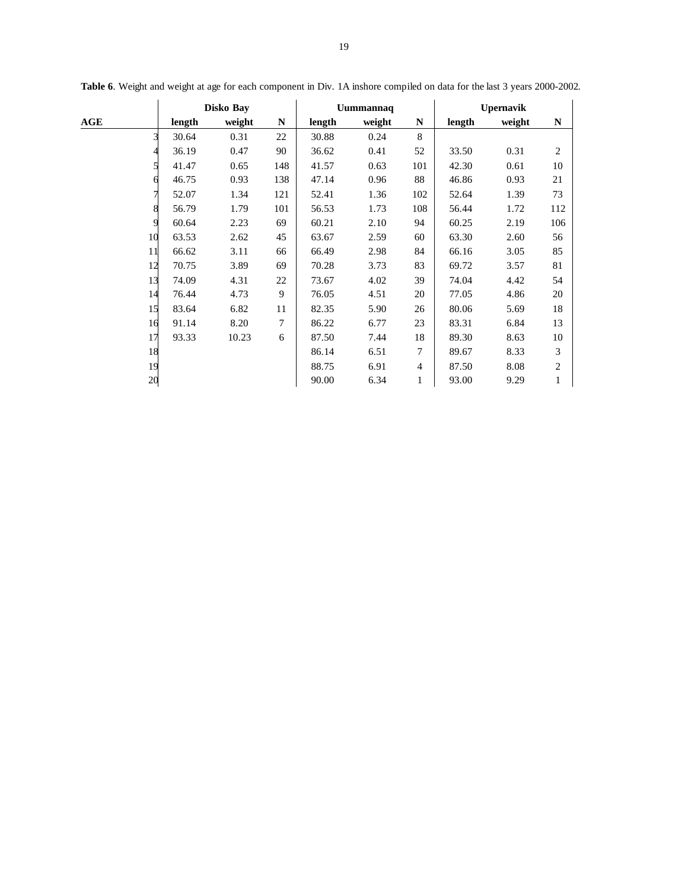|     | Disko Bay |        |     |        | Uummannaq |                | <b>Upernavik</b> |        |                |  |
|-----|-----------|--------|-----|--------|-----------|----------------|------------------|--------|----------------|--|
| AGE | length    | weight | N   | length | weight    | N              | length           | weight | N              |  |
| 3   | 30.64     | 0.31   | 22  | 30.88  | 0.24      | 8              |                  |        |                |  |
|     | 36.19     | 0.47   | 90  | 36.62  | 0.41      | 52             | 33.50            | 0.31   | $\overline{2}$ |  |
|     | 41.47     | 0.65   | 148 | 41.57  | 0.63      | 101            | 42.30            | 0.61   | 10             |  |
|     | 46.75     | 0.93   | 138 | 47.14  | 0.96      | 88             | 46.86            | 0.93   | 21             |  |
| 7   | 52.07     | 1.34   | 121 | 52.41  | 1.36      | 102            | 52.64            | 1.39   | 73             |  |
| 8   | 56.79     | 1.79   | 101 | 56.53  | 1.73      | 108            | 56.44            | 1.72   | 112            |  |
| 9   | 60.64     | 2.23   | 69  | 60.21  | 2.10      | 94             | 60.25            | 2.19   | 106            |  |
| 10  | 63.53     | 2.62   | 45  | 63.67  | 2.59      | 60             | 63.30            | 2.60   | 56             |  |
| 11  | 66.62     | 3.11   | 66  | 66.49  | 2.98      | 84             | 66.16            | 3.05   | 85             |  |
| 12  | 70.75     | 3.89   | 69  | 70.28  | 3.73      | 83             | 69.72            | 3.57   | 81             |  |
| 13  | 74.09     | 4.31   | 22  | 73.67  | 4.02      | 39             | 74.04            | 4.42   | 54             |  |
| 14  | 76.44     | 4.73   | 9   | 76.05  | 4.51      | 20             | 77.05            | 4.86   | 20             |  |
| 15  | 83.64     | 6.82   | 11  | 82.35  | 5.90      | 26             | 80.06            | 5.69   | 18             |  |
| 16  | 91.14     | 8.20   | 7   | 86.22  | 6.77      | 23             | 83.31            | 6.84   | 13             |  |
| 17  | 93.33     | 10.23  | 6   | 87.50  | 7.44      | 18             | 89.30            | 8.63   | 10             |  |
| 18  |           |        |     | 86.14  | 6.51      | $\overline{7}$ | 89.67            | 8.33   | 3              |  |
| 19  |           |        |     | 88.75  | 6.91      | $\overline{4}$ | 87.50            | 8.08   | $\mathbf{2}$   |  |
| 20  |           |        |     | 90.00  | 6.34      | 1              | 93.00            | 9.29   | 1              |  |

**Table 6**. Weight and weight at age for each component in Div. 1A inshore compiled on data for the last 3 years 2000-2002.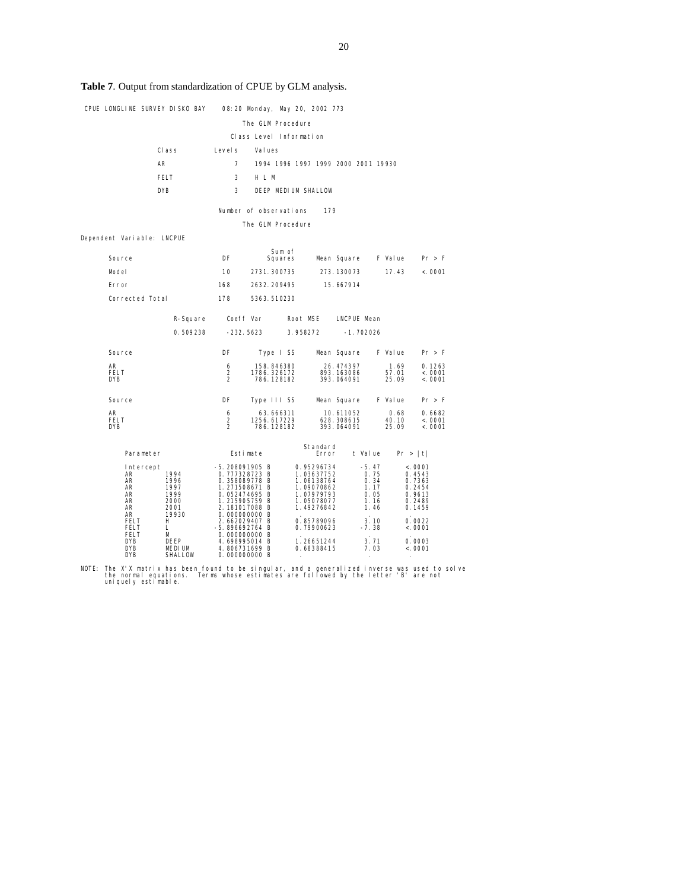# **Table 7**. Output from standardization of CPUE by GLM analysis.

|                            |           | CPUE LONGLINE SURVEY DISKO BAY |                                 | 08:20 Monday, May 20, 2002 773   |                           |                                     |                         |                 |                   |                   |
|----------------------------|-----------|--------------------------------|---------------------------------|----------------------------------|---------------------------|-------------------------------------|-------------------------|-----------------|-------------------|-------------------|
|                            |           |                                |                                 | The GLM Procedure                |                           |                                     |                         |                 |                   |                   |
|                            |           |                                |                                 | Class Level Information          |                           |                                     |                         |                 |                   |                   |
|                            |           | CI ass                         | Level s                         | Val ues                          |                           |                                     |                         |                 |                   |                   |
|                            | AR        |                                | $\overline{7}$                  |                                  |                           | 1994 1996 1997 1999 2000 2001 19930 |                         |                 |                   |                   |
|                            |           | <b>FELT</b>                    | 3                               | H L M                            |                           |                                     |                         |                 |                   |                   |
|                            |           | <b>DYB</b>                     | 3                               |                                  |                           | DEEP MEDIUM SHALLOW                 |                         |                 |                   |                   |
|                            |           |                                |                                 | Number of observations           |                           | 179                                 |                         |                 |                   |                   |
|                            |           |                                |                                 | The GLM Procedure                |                           |                                     |                         |                 |                   |                   |
| Dependent Variable: LNCPUE |           |                                |                                 |                                  |                           |                                     |                         |                 |                   |                   |
| Source                     |           |                                | DF                              |                                  | Sum of<br>Squares         |                                     | Mean Square             |                 | F Value           | Pr > F            |
| Model                      |           |                                | 10                              |                                  | 2731.300735               |                                     | 273.130073              |                 | 17.43             | < .0001           |
| Error                      |           |                                | 168                             |                                  | 2632.209495               |                                     | 15.667914               |                 |                   |                   |
| Corrected Total            |           |                                | 178                             |                                  | 5363.510230               |                                     |                         |                 |                   |                   |
|                            |           |                                |                                 |                                  |                           |                                     |                         |                 |                   |                   |
|                            |           | R-Square Coeff Var             |                                 |                                  |                           | Root MSE LNCPUE Mean                |                         |                 |                   |                   |
|                            |           | 0.509238                       |                                 | -232. 5623                       |                           | 3.958272                            | $-1.702026$             |                 |                   |                   |
| Source                     |           |                                | DF                              |                                  | Type I SS                 |                                     | Mean Square             |                 | F Value           | Pr > F            |
| AR<br><b>FELT</b>          |           |                                | 6<br>2                          |                                  | 158.846380<br>1786.326172 |                                     | 26.474397<br>893.163086 |                 | 1.69<br>57.01     | 0.1263<br>< .0001 |
| <b>DYB</b>                 |           |                                | $\mathfrak{p}$                  |                                  | 786.128182                |                                     | 393.064091              |                 | 25.09             | < .0001           |
| Source                     |           |                                | DF                              |                                  | Type III SS               |                                     | Mean Square             |                 | F Value           | Pr > F            |
| AR<br><b>FELT</b>          |           |                                | 6<br>2                          |                                  | 63.666311<br>1256.617229  |                                     | 10.611052<br>628.308615 |                 | 0.68<br>40.10     | 0.6682<br>< .0001 |
| <b>DYB</b>                 |           |                                | $\overline{2}$                  |                                  | 786.128182                |                                     | 393.064091              |                 | 25.09             | < .0001           |
|                            |           |                                |                                 |                                  |                           | Standard                            |                         |                 |                   |                   |
|                            | Parameter |                                |                                 | Estimate                         |                           | Error                               |                         | t Value         |                   | Pr >  t           |
| AR                         | Intercept | 1994                           |                                 | -5. 208091905 B<br>0.777328723 B |                           | 0.95296734<br>1.03637752            |                         | $-5.47$<br>0.75 |                   | < .0001<br>0.4543 |
| AR<br>AR                   |           | 1996<br>1997                   |                                 | 0.358089778 B<br>1.271508671 B   |                           | 1.06138764<br>1.09070862            |                         | 0.34<br>1.17    |                   | 0.7363<br>0.2454  |
| AR<br>AR                   |           | 1999<br>2000                   |                                 | 0.052474695 B<br>1.215905759 B   |                           | 1.07979793<br>1.05078077            |                         | 0.05<br>1.16    |                   | 0.9613<br>0.2489  |
| AR<br>AR                   |           | 2001<br>19930                  |                                 | 2.181017088 B<br>0.000000000 B   |                           | 1.49276842                          |                         | 1.46            |                   | 0.1459            |
| FELT<br>H.<br>FELT<br>L    |           |                                | 2.662029407 B<br>-5.896692764 B |                                  | 0.85789096<br>0.79900623  |                                     | 3.10<br>$-7.38$         |                 | 0.0022<br>< .0001 |                   |
| <b>FELT</b><br>DYB         |           | М<br>DEEP                      |                                 | 0.000000000 B<br>4.698995014 B   |                           | 1.26651244                          |                         | 3.71            |                   | 0.0003            |
| <b>DYB</b><br><b>DYB</b>   |           | <b>MEDIUM</b><br>SHALLOW       |                                 | 4.806731699 B<br>0.000000000 B   |                           | 0.68388415                          |                         | 7.03            |                   | < .0001           |

NOTE: The X'X matrix has been found to be singular, and a generalized inverse was used to solve the normal equations. Terms whose estimates are followed by the letter 'B' are not uniquely estimable.<br>uniquely estimable.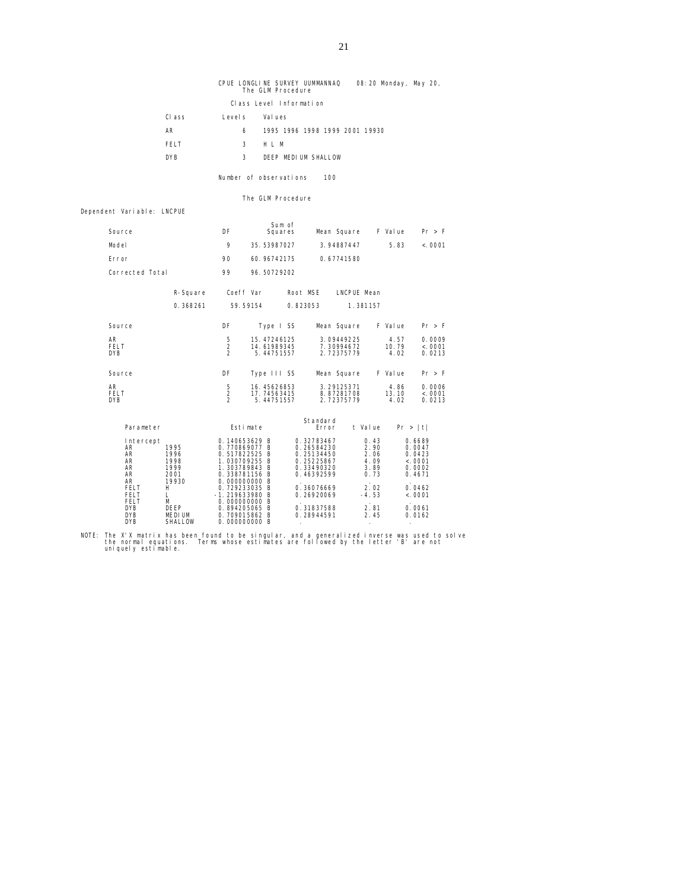CPUE LONGLINE SURVEY UUMMANNAQ 08:20 Monday, May 20, The GLM Procedure Class Level Information Class Levels Values AR 6 1995 1996 1998 1999 2001 19930

| EEL T      | M<br>$H$ $\perp$    |
|------------|---------------------|
| <b>DYB</b> | DEEP MEDIUM SHALLOW |

Number of observations 100

The GLM Procedure

Dependent Variable: LNCPUE

| Source                                                                                                                                                           |                                                                                                  | DF                                                                                                                                                                                                                           | Sum of<br>Squares                        |                   |                                                                                                                                          | Mean Square                            |                                                                                 | F Value               | Pr > F                                                                                             |
|------------------------------------------------------------------------------------------------------------------------------------------------------------------|--------------------------------------------------------------------------------------------------|------------------------------------------------------------------------------------------------------------------------------------------------------------------------------------------------------------------------------|------------------------------------------|-------------------|------------------------------------------------------------------------------------------------------------------------------------------|----------------------------------------|---------------------------------------------------------------------------------|-----------------------|----------------------------------------------------------------------------------------------------|
| Model                                                                                                                                                            |                                                                                                  | 9                                                                                                                                                                                                                            | 35.53987027                              |                   |                                                                                                                                          | 3.94887447                             |                                                                                 | 5.83                  | < .0001                                                                                            |
| Error                                                                                                                                                            |                                                                                                  | 90                                                                                                                                                                                                                           | 60.96742175                              |                   |                                                                                                                                          | 0.67741580                             |                                                                                 |                       |                                                                                                    |
| Corrected Total                                                                                                                                                  |                                                                                                  | 99                                                                                                                                                                                                                           | 96.50729202                              |                   |                                                                                                                                          |                                        |                                                                                 |                       |                                                                                                    |
|                                                                                                                                                                  | R-Square                                                                                         | Coeff Var                                                                                                                                                                                                                    |                                          | Root MSE          |                                                                                                                                          | LNCPUE Mean                            |                                                                                 |                       |                                                                                                    |
|                                                                                                                                                                  | 0.368261                                                                                         | 59.59154                                                                                                                                                                                                                     |                                          | 0.823053          |                                                                                                                                          |                                        | 1.381157                                                                        |                       |                                                                                                    |
| Source                                                                                                                                                           |                                                                                                  | DF                                                                                                                                                                                                                           | Type I SS                                |                   |                                                                                                                                          | Mean Square                            |                                                                                 | F Value               | Pr > F                                                                                             |
| AR<br><b>FELT</b><br><b>DYB</b>                                                                                                                                  |                                                                                                  | 5<br>$\overline{2}$<br>$\mathfrak{p}$                                                                                                                                                                                        | 15.47246125<br>14.61989345<br>5.44751557 |                   |                                                                                                                                          | 3.09449225<br>7.30994672<br>2.72375779 |                                                                                 | 4.57<br>10.79<br>4.02 | 0.0009<br>< .0001<br>0.0213                                                                        |
| Source                                                                                                                                                           |                                                                                                  | DF                                                                                                                                                                                                                           | Type III SS                              |                   |                                                                                                                                          | Mean Square                            |                                                                                 | F Value               | Pr > F                                                                                             |
| AR<br><b>FELT</b><br><b>DYB</b>                                                                                                                                  |                                                                                                  | 5<br>$\overline{2}$<br>$\overline{2}$                                                                                                                                                                                        | 16.45626853<br>17.74563415<br>5.44751557 |                   |                                                                                                                                          | 3.29125371<br>8.87281708<br>2.72375779 |                                                                                 | 4.86<br>13.10<br>4.02 | 0.0006<br>< .0001<br>0.0213                                                                        |
| Parameter                                                                                                                                                        |                                                                                                  | Esti mate                                                                                                                                                                                                                    |                                          | Standard<br>Error |                                                                                                                                          |                                        | t Value                                                                         | Pr >  t               |                                                                                                    |
| Intercept<br>AR<br><b>AR</b><br><b>AR</b><br><b>AR</b><br><b>AR</b><br>AR<br><b>FELT</b><br><b>FELT</b><br><b>FELT</b><br><b>DYB</b><br><b>DYB</b><br><b>DYB</b> | 1995<br>1996<br>1998<br>1999<br>2001<br>19930<br>H<br>L<br>м<br>DEEP<br><b>MEDIUM</b><br>SHALLOW | 0.140653629 B<br>0.770869077 B<br>0.517822525 B<br>1.030709255 B<br>1.303789843 B<br>0.338781156 B<br>0.000000000 B<br>0.729233035 B<br>$-1.219633980$ B<br>0.000000000 B<br>0.894205065 B<br>0.709015862 B<br>0.000000000 B |                                          |                   | 0.32783467<br>0.26584230<br>0.25134450<br>0.25225867<br>0.33490320<br>0.46392599<br>0.36076669<br>0.26920069<br>0.31837588<br>0.28944591 |                                        | 0.43<br>2.90<br>2.06<br>4.09<br>3.89<br>0.73<br>2.02<br>$-4.53$<br>2.81<br>2.45 |                       | 0.6689<br>0.0047<br>0.0423<br>< .0001<br>0.0002<br>0.4671<br>0.0462<br>< .0001<br>0.0061<br>0.0162 |

NOTE: The X'X matrix has been found to be singular, and a generalized inverse was used to solve the normal equations. Terms whose estimates are followed by the letter 'B' are not uniquely estimable.<br>uniquely estimable.